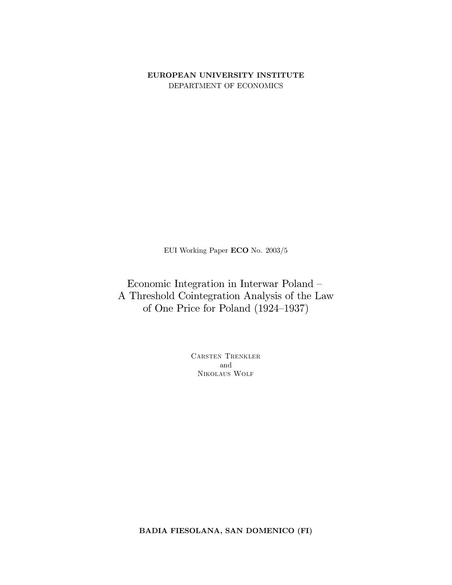EUROPEAN UNIVERSITY INSTITUTE DEPARTMENT OF ECONOMICS

EUI Working Paper ECO No. 2003/5

Economic Integration in Interwar Poland -A Threshold Cointegration Analysis of the Law of One Price for Poland (1924-1937)

> CARSTEN TRENKLER and NIKOLAUS WOLF

BADIA FIESOLANA, SAN DOMENICO (FI)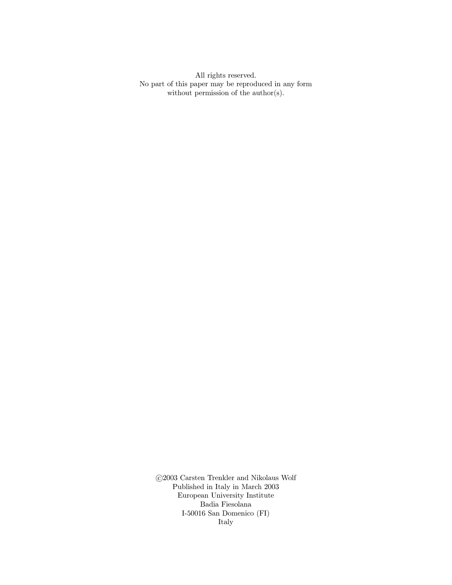All rights reserved. No part of this paper may be reproduced in any form without permission of the  $\text{author}(s)$ .

 $\odot\!2003$  Carsten Trenkler and Nikolaus Wolf Published in Italy in March  $2003$ European University Institute Badia Fiesolana I-50016 San Domenico (FI) Italy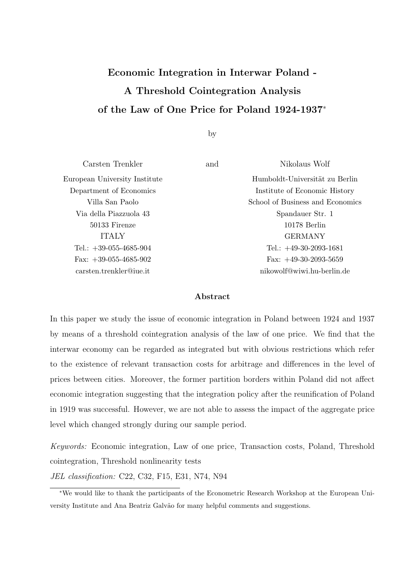# Economic Integration in Interwar Poland - A Threshold Cointegration Analysis of the Law of One Price for Poland 1924-1937<sup>∗</sup>

by

| and | Nikolaus Wolf                    |
|-----|----------------------------------|
|     | Humboldt-Universität zu Berlin   |
|     | Institute of Economic History    |
|     | School of Business and Economics |
|     | Spandauer Str. 1                 |
|     | 10178 Berlin                     |
|     | <b>GERMANY</b>                   |
|     | Tel.: $+49-30-2093-1681$         |
|     | Fax: $+49-30-2093-5659$          |
|     | nikowolf@wiwi.hu-berlin.de       |
|     |                                  |

#### Abstract

In this paper we study the issue of economic integration in Poland between 1924 and 1937 by means of a threshold cointegration analysis of the law of one price. We find that the interwar economy can be regarded as integrated but with obvious restrictions which refer to the existence of relevant transaction costs for arbitrage and differences in the level of prices between cities. Moreover, the former partition borders within Poland did not affect economic integration suggesting that the integration policy after the reunification of Poland in 1919 was successful. However, we are not able to assess the impact of the aggregate price level which changed strongly during our sample period.

Keywords: Economic integration, Law of one price, Transaction costs, Poland, Threshold cointegration, Threshold nonlinearity tests

JEL classification: C22, C32, F15, E31, N74, N94

<sup>∗</sup>We would like to thank the participants of the Econometric Research Workshop at the European University Institute and Ana Beatriz Galvão for many helpful comments and suggestions.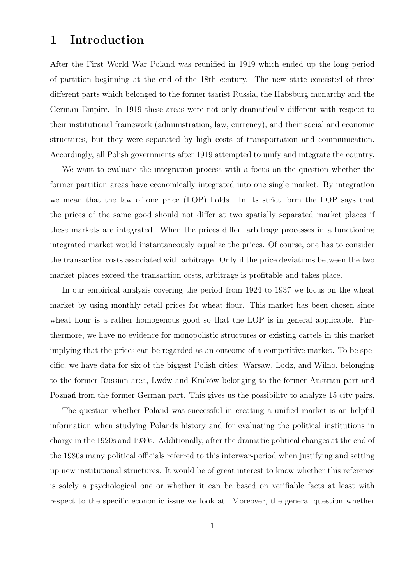# 1 Introduction

After the First World War Poland was reunified in 1919 which ended up the long period of partition beginning at the end of the 18th century. The new state consisted of three different parts which belonged to the former tsarist Russia, the Habsburg monarchy and the German Empire. In 1919 these areas were not only dramatically different with respect to their institutional framework (administration, law, currency), and their social and economic structures, but they were separated by high costs of transportation and communication. Accordingly, all Polish governments after 1919 attempted to unify and integrate the country.

We want to evaluate the integration process with a focus on the question whether the former partition areas have economically integrated into one single market. By integration we mean that the law of one price (LOP) holds. In its strict form the LOP says that the prices of the same good should not differ at two spatially separated market places if these markets are integrated. When the prices differ, arbitrage processes in a functioning integrated market would instantaneously equalize the prices. Of course, one has to consider the transaction costs associated with arbitrage. Only if the price deviations between the two market places exceed the transaction costs, arbitrage is profitable and takes place.

In our empirical analysis covering the period from 1924 to 1937 we focus on the wheat market by using monthly retail prices for wheat flour. This market has been chosen since wheat flour is a rather homogenous good so that the LOP is in general applicable. Furthermore, we have no evidence for monopolistic structures or existing cartels in this market implying that the prices can be regarded as an outcome of a competitive market. To be specific, we have data for six of the biggest Polish cities: Warsaw, Lodz, and Wilno, belonging to the former Russian area, Lwów and Kraków belonging to the former Austrian part and Poznañ from the former German part. This gives us the possibility to analyze 15 city pairs.

The question whether Poland was successful in creating a unified market is an helpful information when studying Polands history and for evaluating the political institutions in charge in the 1920s and 1930s. Additionally, after the dramatic political changes at the end of the 1980s many political officials referred to this interwar-period when justifying and setting up new institutional structures. It would be of great interest to know whether this reference is solely a psychological one or whether it can be based on verifiable facts at least with respect to the specific economic issue we look at. Moreover, the general question whether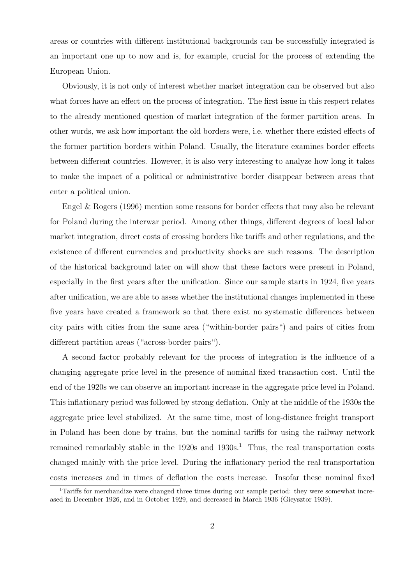areas or countries with different institutional backgrounds can be successfully integrated is an important one up to now and is, for example, crucial for the process of extending the European Union.

Obviously, it is not only of interest whether market integration can be observed but also what forces have an effect on the process of integration. The first issue in this respect relates to the already mentioned question of market integration of the former partition areas. In other words, we ask how important the old borders were, i.e. whether there existed effects of the former partition borders within Poland. Usually, the literature examines border effects between different countries. However, it is also very interesting to analyze how long it takes to make the impact of a political or administrative border disappear between areas that enter a political union.

Engel & Rogers (1996) mention some reasons for border effects that may also be relevant for Poland during the interwar period. Among other things, different degrees of local labor market integration, direct costs of crossing borders like tariffs and other regulations, and the existence of different currencies and productivity shocks are such reasons. The description of the historical background later on will show that these factors were present in Poland, especially in the first years after the unification. Since our sample starts in 1924, five years after unification, we are able to asses whether the institutional changes implemented in these five years have created a framework so that there exist no systematic differences between city pairs with cities from the same area ("within-border pairs") and pairs of cities from different partition areas ("across-border pairs").

A second factor probably relevant for the process of integration is the influence of a changing aggregate price level in the presence of nominal fixed transaction cost. Until the end of the 1920s we can observe an important increase in the aggregate price level in Poland. This inflationary period was followed by strong deflation. Only at the middle of the 1930s the aggregate price level stabilized. At the same time, most of long-distance freight transport in Poland has been done by trains, but the nominal tariffs for using the railway network remained remarkably stable in the  $1920s$  and  $1930s<sup>1</sup>$ . Thus, the real transportation costs changed mainly with the price level. During the inflationary period the real transportation costs increases and in times of deflation the costs increase. Insofar these nominal fixed

<sup>&</sup>lt;sup>1</sup>Tariffs for merchandize were changed three times during our sample period: they were somewhat increased in December 1926, and in October 1929, and decreased in March 1936 (Gieysztor 1939).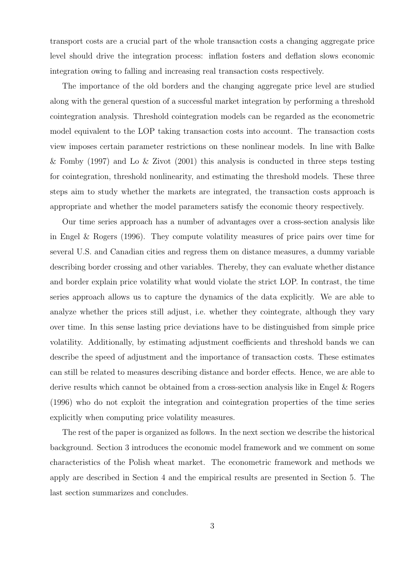transport costs are a crucial part of the whole transaction costs a changing aggregate price level should drive the integration process: inflation fosters and deflation slows economic integration owing to falling and increasing real transaction costs respectively.

The importance of the old borders and the changing aggregate price level are studied along with the general question of a successful market integration by performing a threshold cointegration analysis. Threshold cointegration models can be regarded as the econometric model equivalent to the LOP taking transaction costs into account. The transaction costs view imposes certain parameter restrictions on these nonlinear models. In line with Balke & Fomby (1997) and Lo & Zivot (2001) this analysis is conducted in three steps testing for cointegration, threshold nonlinearity, and estimating the threshold models. These three steps aim to study whether the markets are integrated, the transaction costs approach is appropriate and whether the model parameters satisfy the economic theory respectively.

Our time series approach has a number of advantages over a cross-section analysis like in Engel & Rogers (1996). They compute volatility measures of price pairs over time for several U.S. and Canadian cities and regress them on distance measures, a dummy variable describing border crossing and other variables. Thereby, they can evaluate whether distance and border explain price volatility what would violate the strict LOP. In contrast, the time series approach allows us to capture the dynamics of the data explicitly. We are able to analyze whether the prices still adjust, i.e. whether they cointegrate, although they vary over time. In this sense lasting price deviations have to be distinguished from simple price volatility. Additionally, by estimating adjustment coefficients and threshold bands we can describe the speed of adjustment and the importance of transaction costs. These estimates can still be related to measures describing distance and border effects. Hence, we are able to derive results which cannot be obtained from a cross-section analysis like in Engel & Rogers (1996) who do not exploit the integration and cointegration properties of the time series explicitly when computing price volatility measures.

The rest of the paper is organized as follows. In the next section we describe the historical background. Section 3 introduces the economic model framework and we comment on some characteristics of the Polish wheat market. The econometric framework and methods we apply are described in Section 4 and the empirical results are presented in Section 5. The last section summarizes and concludes.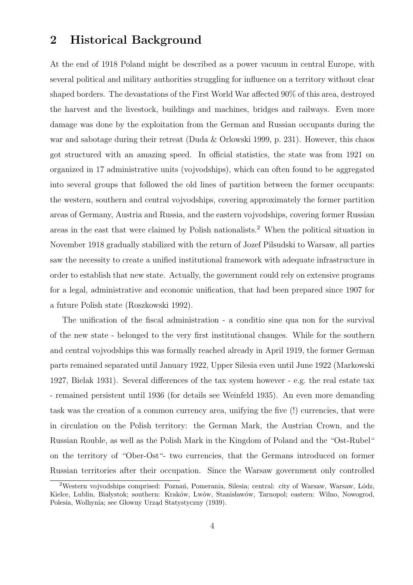### 2 Historical Background

At the end of 1918 Poland might be described as a power vacuum in central Europe, with several political and military authorities struggling for influence on a territory without clear shaped borders. The devastations of the First World War affected 90% of this area, destroyed the harvest and the livestock, buildings and machines, bridges and railways. Even more damage was done by the exploitation from the German and Russian occupants during the war and sabotage during their retreat (Duda & Orlowski 1999, p. 231). However, this chaos got structured with an amazing speed. In official statistics, the state was from 1921 on organized in 17 administrative units (vojvodships), which can often found to be aggregated into several groups that followed the old lines of partition between the former occupants: the western, southern and central vojvodships, covering approximately the former partition areas of Germany, Austria and Russia, and the eastern vojvodships, covering former Russian areas in the east that were claimed by Polish nationalists.<sup>2</sup> When the political situation in November 1918 gradually stabilized with the return of Jozef Pilsudski to Warsaw, all parties saw the necessity to create a unified institutional framework with adequate infrastructure in order to establish that new state. Actually, the government could rely on extensive programs for a legal, administrative and economic unification, that had been prepared since 1907 for a future Polish state (Roszkowski 1992).

The unification of the fiscal administration - a conditio sine qua non for the survival of the new state - belonged to the very first institutional changes. While for the southern and central vojvodships this was formally reached already in April 1919, the former German parts remained separated until January 1922, Upper Silesia even until June 1922 (Markowski 1927, Bielak 1931). Several differences of the tax system however - e.g. the real estate tax - remained persistent until 1936 (for details see Weinfeld 1935). An even more demanding task was the creation of a common currency area, unifying the five (!) currencies, that were in circulation on the Polish territory: the German Mark, the Austrian Crown, and the Russian Rouble, as well as the Polish Mark in the Kingdom of Poland and the "Ost-Rubel" on the territory of "Ober-Ost"- two currencies, that the Germans introduced on former Russian territories after their occupation. Since the Warsaw government only controlled

<sup>&</sup>lt;sup>2</sup>Western vojvodships comprised: Poznań, Pomerania, Silesia; central: city of Warsaw, Warsaw, Lódz, Kielce, Lublin, Białystok; southern: Kraków, Lwów, Stanisławów, Tarnopol; eastern: Wilno, Nowogrod, Polesia, Wolhynia; see Głowny Urząd Statystyczny (1939).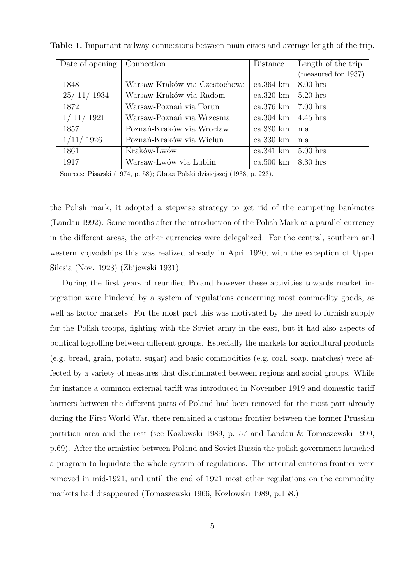| Date of opening | Connection                    | Distance             | Length of the trip  |
|-----------------|-------------------------------|----------------------|---------------------|
|                 |                               |                      | (measured for 1937) |
| 1848            | Warsaw-Kraków via Czestochowa | $ca.364$ km          | $8.00$ hrs          |
| 25/11/1934      | Warsaw-Kraków via Radom       | $ca.320 \mathrm{km}$ | $5.20$ hrs          |
| 1872            | Warsaw-Poznań via Torun       | ca.376 km            | $7.00$ hrs          |
| 1/11/1921       | Warsaw-Poznań via Wrzesnia    | $ca.304 \mathrm{km}$ | $4.45$ hrs          |
| 1857            | Poznań-Kraków via Wroclaw     | $ca.380$ km          | n.a.                |
| 1/11/1926       | Poznań-Kraków via Wielun      | $ca.330 \mathrm{km}$ | n.a.                |
| 1861            | Kraków-Lwów                   | $ca.341 \text{ km}$  | $5.00$ hrs          |
| 1917            | Warsaw-Lwów via Lublin        | $ca.500 \mathrm{km}$ | $8.30$ hrs          |

Table 1. Important railway-connections between main cities and average length of the trip.

Sources: Pisarski (1974, p. 58); Obraz Polski dzisiejszej (1938, p. 223).

the Polish mark, it adopted a stepwise strategy to get rid of the competing banknotes (Landau 1992). Some months after the introduction of the Polish Mark as a parallel currency in the different areas, the other currencies were delegalized. For the central, southern and western vojvodships this was realized already in April 1920, with the exception of Upper Silesia (Nov. 1923) (Zbijewski 1931).

During the first years of reunified Poland however these activities towards market integration were hindered by a system of regulations concerning most commodity goods, as well as factor markets. For the most part this was motivated by the need to furnish supply for the Polish troops, fighting with the Soviet army in the east, but it had also aspects of political logrolling between different groups. Especially the markets for agricultural products (e.g. bread, grain, potato, sugar) and basic commodities (e.g. coal, soap, matches) were affected by a variety of measures that discriminated between regions and social groups. While for instance a common external tariff was introduced in November 1919 and domestic tariff barriers between the different parts of Poland had been removed for the most part already during the First World War, there remained a customs frontier between the former Prussian partition area and the rest (see Kozlowski 1989, p.157 and Landau & Tomaszewski 1999, p.69). After the armistice between Poland and Soviet Russia the polish government launched a program to liquidate the whole system of regulations. The internal customs frontier were removed in mid-1921, and until the end of 1921 most other regulations on the commodity markets had disappeared (Tomaszewski 1966, Kozlowski 1989, p.158.)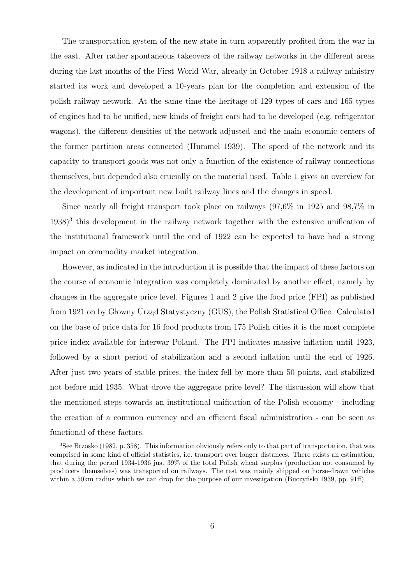The transportation system of the new state in turn apparently profited from the war in the east. After rather spontaneous takeovers of the railway networks in the different areas during the last months of the First World War, already in October 1918 a railway ministry started its work and developed a 10-years plan for the completion and extension of the polish railway network. At the same time the heritage of 129 types of cars and 165 types of engines had to be unified, new kinds of freight cars had to be developed (e.g. refrigerator wagons), the different densities of the network adjusted and the main economic centers of the former partition areas connected (Hummel 1939). The speed of the network and its capacity to transport goods was not only a function of the existence of railway connections themselves, but depended also crucially on the material used. Table 1 gives an overview for the development of important new built railway lines and the changes in speed.

Since nearly all freight transport took place on railways (97,6% in 1925 and 98,7% in 1938)<sup>3</sup> this development in the railway network together with the extensive unification of the institutional framework until the end of 1922 can be expected to have had a strong impact on commodity market integration.

However, as indicated in the introduction it is possible that the impact of these factors on the course of economic integration was completely dominated by another effect, namely by changes in the aggregate price level. Figures 1 and 2 give the food price (FPI) as published from 1921 on by Głowny Urząd Statystyczny (GUS), the Polish Statistical Office. Calculated on the base of price data for 16 food products from 175 Polish cities it is the most complete price index available for interwar Poland. The FPI indicates massive inflation until 1923, followed by a short period of stabilization and a second inflation until the end of 1926. After just two years of stable prices, the index fell by more than 50 points, and stabilized not before mid 1935. What drove the aggregate price level? The discussion will show that the mentioned steps towards an institutional unification of the Polish economy - including the creation of a common currency and an efficient fiscal administration - can be seen as functional of these factors.

<sup>3</sup>See Brzosko (1982, p. 358). This information obviously refers only to that part of transportation, that was comprised in some kind of official statistics, i.e. transport over longer distances. There exists an estimation, that during the period 1934-1936 just 39% of the total Polish wheat surplus (production not consumed by producers themselves) was transported on railways. The rest was mainly shipped on horse-drawn vehicles within a 50km radius which we can drop for the purpose of our investigation (Buczyński 1939, pp. 91ff).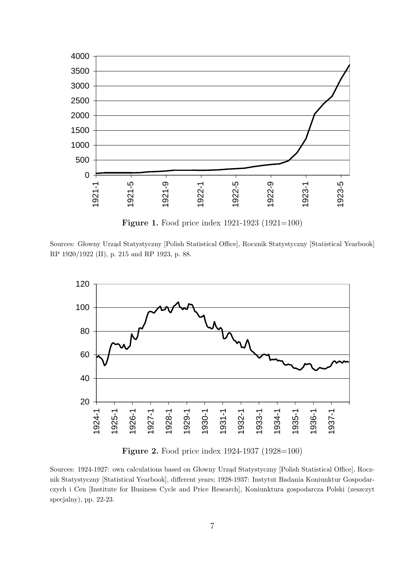

Figure 1. Food price index 1921-1923 (1921=100)

Sources: Głowny Urząd Statystyczny [Polish Statistical Office], Rocznik Statystyczny [Statistical Yearbook] RP 1920/1922 (II), p. 215 and RP 1923, p. 88.



Figure 2. Food price index 1924-1937 (1928=100)

Sources: 1924-1927: own calculations based on Głowny Urząd Statystyczny [Polish Statistical Office], Rocznik Statystyczny [Statistical Yearbook], different years; 1928-1937: Instytut Badania Koniunktur Gospodarczych i Cen [Institute for Business Cycle and Price Research], Koniunktura gospodarcza Polski (zeszczyt specjalny), pp. 22-23.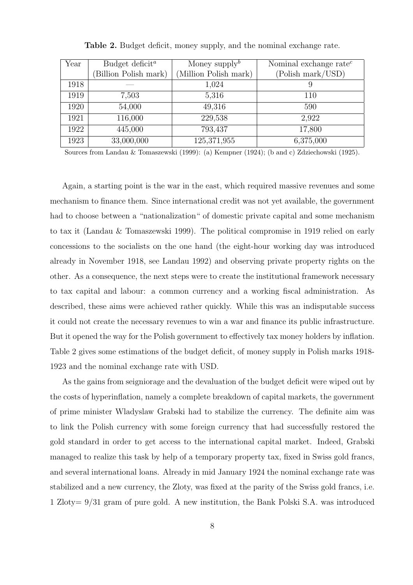| Year | Budget deficit <sup><math>a</math></sup> | Money supply <sup>b</sup> | Nominal exchange rate <sup><math>c</math></sup> |
|------|------------------------------------------|---------------------------|-------------------------------------------------|
|      | Billion Polish mark)                     | (Million Polish mark)     | (Polish mark/USD)                               |
| 1918 |                                          | 1,024                     |                                                 |
| 1919 | 7,503                                    | 5,316                     | 110                                             |
| 1920 | 54,000                                   | 49,316                    | 590                                             |
| 1921 | 116,000                                  | 229,538                   | 2,922                                           |
| 1922 | 445,000                                  | 793,437                   | 17,800                                          |
| 1923 | 33,000,000                               | 125,371,955               | 6,375,000                                       |

Table 2. Budget deficit, money supply, and the nominal exchange rate.

Sources from Landau & Tomaszewski (1999): (a) Kempner (1924); (b and c) Zdziechowski (1925).

Again, a starting point is the war in the east, which required massive revenues and some mechanism to finance them. Since international credit was not yet available, the government had to choose between a "nationalization" of domestic private capital and some mechanism to tax it (Landau & Tomaszewski 1999). The political compromise in 1919 relied on early concessions to the socialists on the one hand (the eight-hour working day was introduced already in November 1918, see Landau 1992) and observing private property rights on the other. As a consequence, the next steps were to create the institutional framework necessary to tax capital and labour: a common currency and a working fiscal administration. As described, these aims were achieved rather quickly. While this was an indisputable success it could not create the necessary revenues to win a war and finance its public infrastructure. But it opened the way for the Polish government to effectively tax money holders by inflation. Table 2 gives some estimations of the budget deficit, of money supply in Polish marks 1918- 1923 and the nominal exchange rate with USD.

As the gains from seigniorage and the devaluation of the budget deficit were wiped out by the costs of hyperinflation, namely a complete breakdown of capital markets, the government of prime minister Wladyslaw Grabski had to stabilize the currency. The definite aim was to link the Polish currency with some foreign currency that had successfully restored the gold standard in order to get access to the international capital market. Indeed, Grabski managed to realize this task by help of a temporary property tax, fixed in Swiss gold francs, and several international loans. Already in mid January 1924 the nominal exchange rate was stabilized and a new currency, the Zloty, was fixed at the parity of the Swiss gold francs, i.e. 1 Zloty= 9/31 gram of pure gold. A new institution, the Bank Polski S.A. was introduced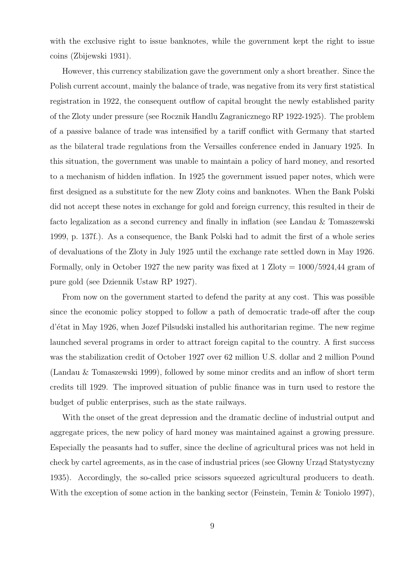with the exclusive right to issue banknotes, while the government kept the right to issue coins (Zbijewski 1931).

However, this currency stabilization gave the government only a short breather. Since the Polish current account, mainly the balance of trade, was negative from its very first statistical registration in 1922, the consequent outflow of capital brought the newly established parity of the Zloty under pressure (see Rocznik Handlu Zagranicznego RP 1922-1925). The problem of a passive balance of trade was intensified by a tariff conflict with Germany that started as the bilateral trade regulations from the Versailles conference ended in January 1925. In this situation, the government was unable to maintain a policy of hard money, and resorted to a mechanism of hidden inflation. In 1925 the government issued paper notes, which were first designed as a substitute for the new Zloty coins and banknotes. When the Bank Polski did not accept these notes in exchange for gold and foreign currency, this resulted in their de facto legalization as a second currency and finally in inflation (see Landau & Tomaszewski 1999, p. 137f.). As a consequence, the Bank Polski had to admit the first of a whole series of devaluations of the Zloty in July 1925 until the exchange rate settled down in May 1926. Formally, only in October 1927 the new parity was fixed at  $1 \text{ Zloty} = 1000/5924,44 \text{ gram of}$ pure gold (see Dziennik Ustaw RP 1927).

From now on the government started to defend the parity at any cost. This was possible since the economic policy stopped to follow a path of democratic trade-off after the coup d'´etat in May 1926, when Jozef Pilsudski installed his authoritarian regime. The new regime launched several programs in order to attract foreign capital to the country. A first success was the stabilization credit of October 1927 over 62 million U.S. dollar and 2 million Pound (Landau & Tomaszewski 1999), followed by some minor credits and an inflow of short term credits till 1929. The improved situation of public finance was in turn used to restore the budget of public enterprises, such as the state railways.

With the onset of the great depression and the dramatic decline of industrial output and aggregate prices, the new policy of hard money was maintained against a growing pressure. Especially the peasants had to suffer, since the decline of agricultural prices was not held in check by cartel agreements, as in the case of industrial prices (see Głowny Urząd Statystyczny 1935). Accordingly, the so-called price scissors squeezed agricultural producers to death. With the exception of some action in the banking sector (Feinstein, Temin & Toniolo 1997),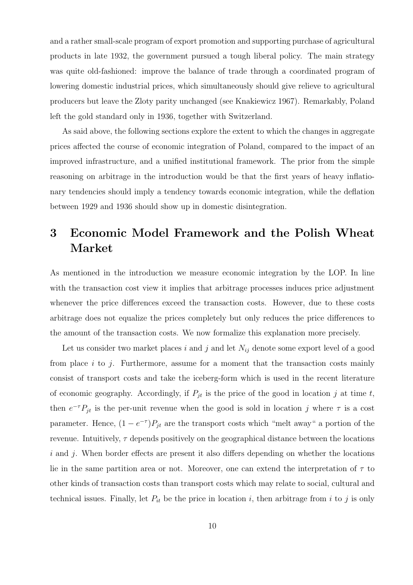and a rather small-scale program of export promotion and supporting purchase of agricultural products in late 1932, the government pursued a tough liberal policy. The main strategy was quite old-fashioned: improve the balance of trade through a coordinated program of lowering domestic industrial prices, which simultaneously should give relieve to agricultural producers but leave the Zloty parity unchanged (see Knakiewicz 1967). Remarkably, Poland left the gold standard only in 1936, together with Switzerland.

As said above, the following sections explore the extent to which the changes in aggregate prices affected the course of economic integration of Poland, compared to the impact of an improved infrastructure, and a unified institutional framework. The prior from the simple reasoning on arbitrage in the introduction would be that the first years of heavy inflationary tendencies should imply a tendency towards economic integration, while the deflation between 1929 and 1936 should show up in domestic disintegration.

# 3 Economic Model Framework and the Polish Wheat Market

As mentioned in the introduction we measure economic integration by the LOP. In line with the transaction cost view it implies that arbitrage processes induces price adjustment whenever the price differences exceed the transaction costs. However, due to these costs arbitrage does not equalize the prices completely but only reduces the price differences to the amount of the transaction costs. We now formalize this explanation more precisely.

Let us consider two market places i and j and let  $N_{ij}$  denote some export level of a good from place  $i$  to  $j$ . Furthermore, assume for a moment that the transaction costs mainly consist of transport costs and take the iceberg-form which is used in the recent literature of economic geography. Accordingly, if  $P_{jt}$  is the price of the good in location j at time t, then  $e^{-\tau}P_{jt}$  is the per-unit revenue when the good is sold in location j where  $\tau$  is a cost parameter. Hence,  $(1 - e^{-\tau})P_{jt}$  are the transport costs which "melt away" a portion of the revenue. Intuitively,  $\tau$  depends positively on the geographical distance between the locations  $i$  and  $j$ . When border effects are present it also differs depending on whether the locations lie in the same partition area or not. Moreover, one can extend the interpretation of  $\tau$  to other kinds of transaction costs than transport costs which may relate to social, cultural and technical issues. Finally, let  $P_{it}$  be the price in location i, then arbitrage from i to j is only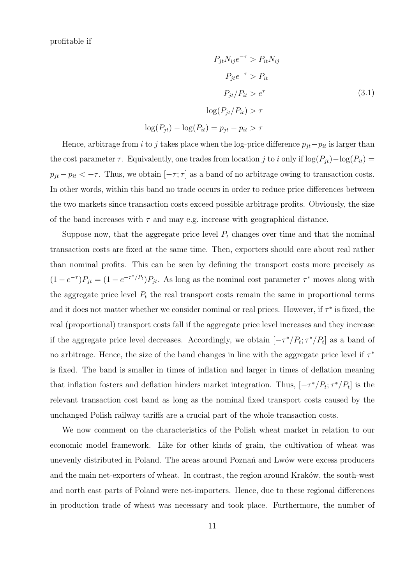profitable if

$$
P_{jt} N_{ij} e^{-\tau} > P_{it} N_{ij}
$$
  
\n
$$
P_{jt} e^{-\tau} > P_{it}
$$
  
\n
$$
P_{jt} / P_{it} > e^{\tau}
$$
  
\n
$$
\log(P_{jt} / P_{it}) > \tau
$$
  
\n
$$
\log(P_{jt}) - \log(P_{it}) = p_{jt} - p_{it} > \tau
$$
 (3.1)

Hence, arbitrage from i to j takes place when the log-price difference  $p_{jt}-p_{it}$  is larger than the cost parameter  $\tau$ . Equivalently, one trades from location j to i only if  $\log(P_{jt}) - \log(P_{it}) =$  $p_{jt} - p_{it} < -\tau$ . Thus, we obtain  $[-\tau; \tau]$  as a band of no arbitrage owing to transaction costs. In other words, within this band no trade occurs in order to reduce price differences between the two markets since transaction costs exceed possible arbitrage profits. Obviously, the size of the band increases with  $\tau$  and may e.g. increase with geographical distance.

Suppose now, that the aggregate price level  $P_t$  changes over time and that the nominal transaction costs are fixed at the same time. Then, exporters should care about real rather than nominal profits. This can be seen by defining the transport costs more precisely as  $(1-e^{-\tau})P_{jt} = (1-e^{-\tau^*/P_t})P_{jt}$ . As long as the nominal cost parameter  $\tau^*$  moves along with the aggregate price level  $P_t$  the real transport costs remain the same in proportional terms and it does not matter whether we consider nominal or real prices. However, if  $\tau^*$  is fixed, the real (proportional) transport costs fall if the aggregate price level increases and they increase if the aggregate price level decreases. Accordingly, we obtain  $[-\tau^*/P_t; \tau^*/P_t]$  as a band of no arbitrage. Hence, the size of the band changes in line with the aggregate price level if  $\tau^*$ is fixed. The band is smaller in times of inflation and larger in times of deflation meaning that inflation fosters and deflation hinders market integration. Thus,  $[-\tau^*/P_t; \tau^*/P_t]$  is the relevant transaction cost band as long as the nominal fixed transport costs caused by the unchanged Polish railway tariffs are a crucial part of the whole transaction costs.

We now comment on the characteristics of the Polish wheat market in relation to our economic model framework. Like for other kinds of grain, the cultivation of wheat was unevenly distributed in Poland. The areas around Poznań and Lwów were excess producers and the main net-exporters of wheat. In contrast, the region around Kraków, the south-west and north east parts of Poland were net-importers. Hence, due to these regional differences in production trade of wheat was necessary and took place. Furthermore, the number of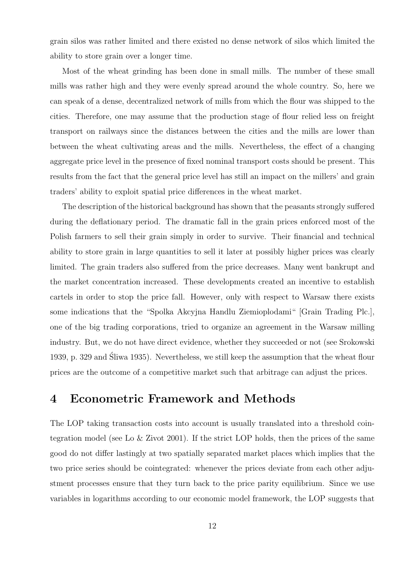grain silos was rather limited and there existed no dense network of silos which limited the ability to store grain over a longer time.

Most of the wheat grinding has been done in small mills. The number of these small mills was rather high and they were evenly spread around the whole country. So, here we can speak of a dense, decentralized network of mills from which the flour was shipped to the cities. Therefore, one may assume that the production stage of flour relied less on freight transport on railways since the distances between the cities and the mills are lower than between the wheat cultivating areas and the mills. Nevertheless, the effect of a changing aggregate price level in the presence of fixed nominal transport costs should be present. This results from the fact that the general price level has still an impact on the millers' and grain traders' ability to exploit spatial price differences in the wheat market.

The description of the historical background has shown that the peasants strongly suffered during the deflationary period. The dramatic fall in the grain prices enforced most of the Polish farmers to sell their grain simply in order to survive. Their financial and technical ability to store grain in large quantities to sell it later at possibly higher prices was clearly limited. The grain traders also suffered from the price decreases. Many went bankrupt and the market concentration increased. These developments created an incentive to establish cartels in order to stop the price fall. However, only with respect to Warsaw there exists some indications that the "Spolka Akcyjna Handlu Ziemioplodami" [Grain Trading Plc.], one of the big trading corporations, tried to organize an agreement in the Warsaw milling industry. But, we do not have direct evidence, whether they succeeded or not (see Srokowski 1939, p. 329 and Sliwa 1935). Nevertheless, we still keep the assumption that the wheat flour ´ prices are the outcome of a competitive market such that arbitrage can adjust the prices.

### 4 Econometric Framework and Methods

The LOP taking transaction costs into account is usually translated into a threshold cointegration model (see Lo  $\&$  Zivot 2001). If the strict LOP holds, then the prices of the same good do not differ lastingly at two spatially separated market places which implies that the two price series should be cointegrated: whenever the prices deviate from each other adjustment processes ensure that they turn back to the price parity equilibrium. Since we use variables in logarithms according to our economic model framework, the LOP suggests that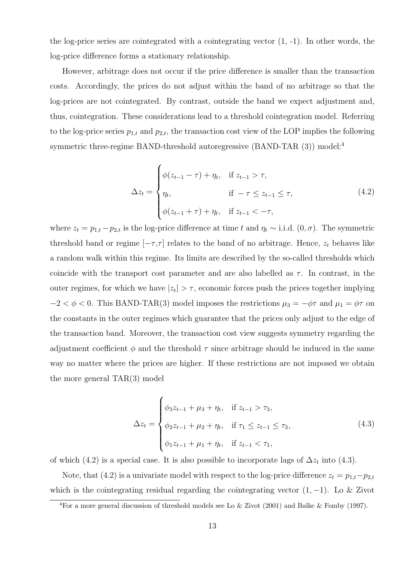the log-price series are cointegrated with a cointegrating vector  $(1, -1)$ . In other words, the log-price difference forms a stationary relationship.

However, arbitrage does not occur if the price difference is smaller than the transaction costs. Accordingly, the prices do not adjust within the band of no arbitrage so that the log-prices are not cointegrated. By contrast, outside the band we expect adjustment and, thus, cointegration. These considerations lead to a threshold cointegration model. Referring to the log-price series  $p_{1,t}$  and  $p_{2,t}$ , the transaction cost view of the LOP implies the following symmetric three-regime BAND-threshold autoregressive (BAND-TAR (3)) model:<sup>4</sup>

$$
\Delta z_t = \begin{cases} \phi(z_{t-1} - \tau) + \eta_t, & \text{if } z_{t-1} > \tau, \\ \eta_t, & \text{if } -\tau \le z_{t-1} \le \tau, \\ \phi(z_{t-1} + \tau) + \eta_t, & \text{if } z_{t-1} < -\tau, \end{cases}
$$
(4.2)

where  $z_t = p_{1,t} - p_{2,t}$  is the log-price difference at time t and  $\eta_t \sim$  i.i.d.  $(0, \sigma)$ . The symmetric threshold band or regime  $[-\tau, \tau]$  relates to the band of no arbitrage. Hence,  $z_t$  behaves like a random walk within this regime. Its limits are described by the so-called thresholds which coincide with the transport cost parameter and are also labelled as  $\tau$ . In contrast, in the outer regimes, for which we have  $|z_t| > \tau$ , economic forces push the prices together implying  $-2 < \phi < 0$ . This BAND-TAR(3) model imposes the restrictions  $\mu_3 = -\phi\tau$  and  $\mu_1 = \phi\tau$  on the constants in the outer regimes which guarantee that the prices only adjust to the edge of the transaction band. Moreover, the transaction cost view suggests symmetry regarding the adjustment coefficient  $\phi$  and the threshold  $\tau$  since arbitrage should be induced in the same way no matter where the prices are higher. If these restrictions are not imposed we obtain the more general TAR(3) model

$$
\Delta z_t = \begin{cases} \phi_3 z_{t-1} + \mu_3 + \eta_t, & \text{if } z_{t-1} > \tau_3, \\ \phi_2 z_{t-1} + \mu_2 + \eta_t, & \text{if } \tau_1 \le z_{t-1} \le \tau_3, \\ \phi_1 z_{t-1} + \mu_1 + \eta_t, & \text{if } z_{t-1} < \tau_1, \end{cases}
$$
(4.3)

of which (4.2) is a special case. It is also possible to incorporate lags of  $\Delta z_t$  into (4.3).

 $\overline{a}$ 

Note, that (4.2) is a univariate model with respect to the log-price difference  $z_t = p_{1,t} - p_{2,t}$ which is the cointegrating residual regarding the cointegrating vector  $(1, -1)$ . Lo & Zivot

<sup>&</sup>lt;sup>4</sup>For a more general discussion of threshold models see Lo & Zivot (2001) and Balke & Fomby (1997).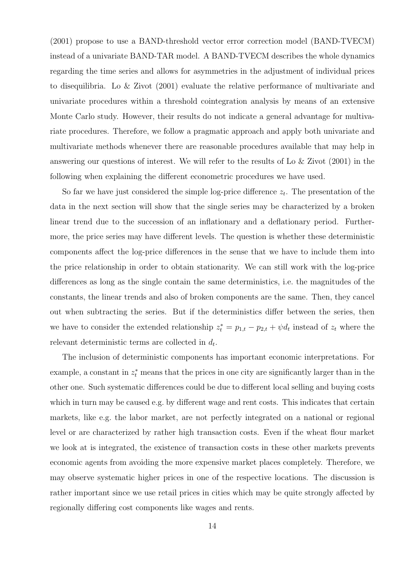(2001) propose to use a BAND-threshold vector error correction model (BAND-TVECM) instead of a univariate BAND-TAR model. A BAND-TVECM describes the whole dynamics regarding the time series and allows for asymmetries in the adjustment of individual prices to disequilibria. Lo & Zivot (2001) evaluate the relative performance of multivariate and univariate procedures within a threshold cointegration analysis by means of an extensive Monte Carlo study. However, their results do not indicate a general advantage for multivariate procedures. Therefore, we follow a pragmatic approach and apply both univariate and multivariate methods whenever there are reasonable procedures available that may help in answering our questions of interest. We will refer to the results of Lo & Zivot (2001) in the following when explaining the different econometric procedures we have used.

So far we have just considered the simple log-price difference  $z_t$ . The presentation of the data in the next section will show that the single series may be characterized by a broken linear trend due to the succession of an inflationary and a deflationary period. Furthermore, the price series may have different levels. The question is whether these deterministic components affect the log-price differences in the sense that we have to include them into the price relationship in order to obtain stationarity. We can still work with the log-price differences as long as the single contain the same deterministics, i.e. the magnitudes of the constants, the linear trends and also of broken components are the same. Then, they cancel out when subtracting the series. But if the deterministics differ between the series, then we have to consider the extended relationship  $z_t^* = p_{1,t} - p_{2,t} + \psi d_t$  instead of  $z_t$  where the relevant deterministic terms are collected in  $d_t$ .

The inclusion of deterministic components has important economic interpretations. For example, a constant in  $z_t^*$  means that the prices in one city are significantly larger than in the other one. Such systematic differences could be due to different local selling and buying costs which in turn may be caused e.g. by different wage and rent costs. This indicates that certain markets, like e.g. the labor market, are not perfectly integrated on a national or regional level or are characterized by rather high transaction costs. Even if the wheat flour market we look at is integrated, the existence of transaction costs in these other markets prevents economic agents from avoiding the more expensive market places completely. Therefore, we may observe systematic higher prices in one of the respective locations. The discussion is rather important since we use retail prices in cities which may be quite strongly affected by regionally differing cost components like wages and rents.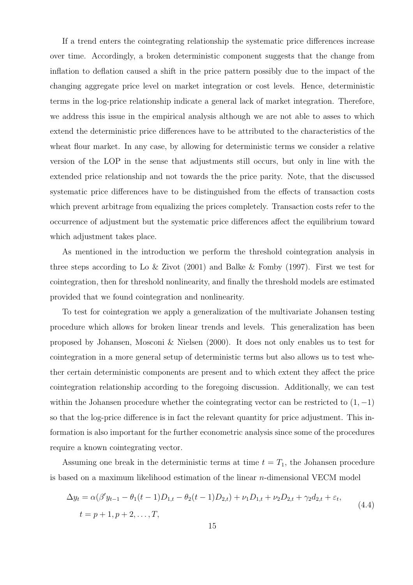If a trend enters the cointegrating relationship the systematic price differences increase over time. Accordingly, a broken deterministic component suggests that the change from inflation to deflation caused a shift in the price pattern possibly due to the impact of the changing aggregate price level on market integration or cost levels. Hence, deterministic terms in the log-price relationship indicate a general lack of market integration. Therefore, we address this issue in the empirical analysis although we are not able to asses to which extend the deterministic price differences have to be attributed to the characteristics of the wheat flour market. In any case, by allowing for deterministic terms we consider a relative version of the LOP in the sense that adjustments still occurs, but only in line with the extended price relationship and not towards the the price parity. Note, that the discussed systematic price differences have to be distinguished from the effects of transaction costs which prevent arbitrage from equalizing the prices completely. Transaction costs refer to the occurrence of adjustment but the systematic price differences affect the equilibrium toward which adjustment takes place.

As mentioned in the introduction we perform the threshold cointegration analysis in three steps according to Lo & Zivot (2001) and Balke & Fomby (1997). First we test for cointegration, then for threshold nonlinearity, and finally the threshold models are estimated provided that we found cointegration and nonlinearity.

To test for cointegration we apply a generalization of the multivariate Johansen testing procedure which allows for broken linear trends and levels. This generalization has been proposed by Johansen, Mosconi & Nielsen (2000). It does not only enables us to test for cointegration in a more general setup of deterministic terms but also allows us to test whether certain deterministic components are present and to which extent they affect the price cointegration relationship according to the foregoing discussion. Additionally, we can test within the Johansen procedure whether the cointegrating vector can be restricted to  $(1, -1)$ so that the log-price difference is in fact the relevant quantity for price adjustment. This information is also important for the further econometric analysis since some of the procedures require a known cointegrating vector.

Assuming one break in the deterministic terms at time  $t = T_1$ , the Johansen procedure is based on a maximum likelihood estimation of the linear  $n$ -dimensional VECM model

$$
\Delta y_t = \alpha(\beta' y_{t-1} - \theta_1(t-1)D_{1,t} - \theta_2(t-1)D_{2,t}) + \nu_1 D_{1,t} + \nu_2 D_{2,t} + \gamma_2 d_{2,t} + \varepsilon_t,
$$
  
\n
$$
t = p + 1, p + 2, ..., T,
$$
\n(4.4)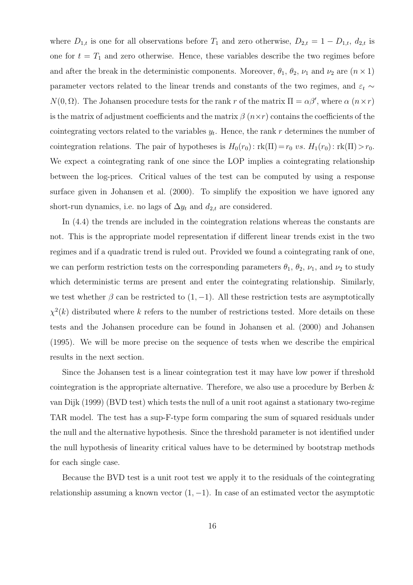where  $D_{1,t}$  is one for all observations before  $T_1$  and zero otherwise,  $D_{2,t} = 1 - D_{1,t}$ ,  $d_{2,t}$  is one for  $t = T_1$  and zero otherwise. Hence, these variables describe the two regimes before and after the break in the deterministic components. Moreover,  $\theta_1$ ,  $\theta_2$ ,  $\nu_1$  and  $\nu_2$  are  $(n \times 1)$ parameter vectors related to the linear trends and constants of the two regimes, and  $\varepsilon_t \sim$  $N(0, \Omega)$ . The Johansen procedure tests for the rank r of the matrix  $\Pi = \alpha \beta'$ , where  $\alpha$   $(n \times r)$ is the matrix of adjustment coefficients and the matrix  $\beta$  ( $n \times r$ ) contains the coefficients of the cointegrating vectors related to the variables  $y_t$ . Hence, the rank r determines the number of cointegration relations. The pair of hypotheses is  $H_0(r_0): \text{rk}(\Pi) = r_0 \text{ vs. } H_1(r_0): \text{rk}(\Pi) > r_0$ . We expect a cointegrating rank of one since the LOP implies a cointegrating relationship between the log-prices. Critical values of the test can be computed by using a response surface given in Johansen et al. (2000). To simplify the exposition we have ignored any short-run dynamics, i.e. no lags of  $\Delta y_t$  and  $d_{2,t}$  are considered.

In (4.4) the trends are included in the cointegration relations whereas the constants are not. This is the appropriate model representation if different linear trends exist in the two regimes and if a quadratic trend is ruled out. Provided we found a cointegrating rank of one, we can perform restriction tests on the corresponding parameters  $\theta_1$ ,  $\theta_2$ ,  $\nu_1$ , and  $\nu_2$  to study which deterministic terms are present and enter the cointegrating relationship. Similarly, we test whether  $\beta$  can be restricted to  $(1, -1)$ . All these restriction tests are asymptotically  $\chi^2(k)$  distributed where k refers to the number of restrictions tested. More details on these tests and the Johansen procedure can be found in Johansen et al. (2000) and Johansen (1995). We will be more precise on the sequence of tests when we describe the empirical results in the next section.

Since the Johansen test is a linear cointegration test it may have low power if threshold cointegration is the appropriate alternative. Therefore, we also use a procedure by Berben & van Dijk (1999) (BVD test) which tests the null of a unit root against a stationary two-regime TAR model. The test has a sup-F-type form comparing the sum of squared residuals under the null and the alternative hypothesis. Since the threshold parameter is not identified under the null hypothesis of linearity critical values have to be determined by bootstrap methods for each single case.

Because the BVD test is a unit root test we apply it to the residuals of the cointegrating relationship assuming a known vector  $(1, -1)$ . In case of an estimated vector the asymptotic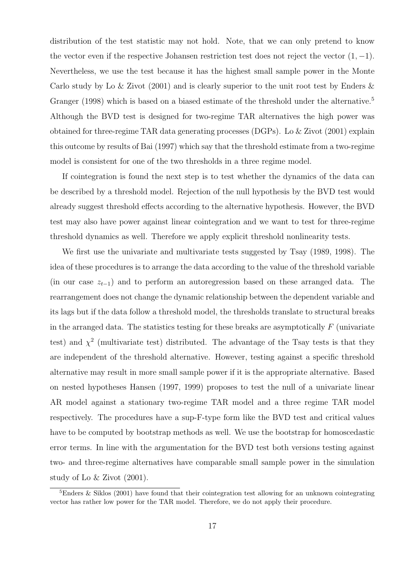distribution of the test statistic may not hold. Note, that we can only pretend to know the vector even if the respective Johansen restriction test does not reject the vector  $(1, -1)$ . Nevertheless, we use the test because it has the highest small sample power in the Monte Carlo study by Lo & Zivot (2001) and is clearly superior to the unit root test by Enders & Granger (1998) which is based on a biased estimate of the threshold under the alternative.<sup>5</sup> Although the BVD test is designed for two-regime TAR alternatives the high power was obtained for three-regime TAR data generating processes (DGPs). Lo & Zivot (2001) explain this outcome by results of Bai (1997) which say that the threshold estimate from a two-regime model is consistent for one of the two thresholds in a three regime model.

If cointegration is found the next step is to test whether the dynamics of the data can be described by a threshold model. Rejection of the null hypothesis by the BVD test would already suggest threshold effects according to the alternative hypothesis. However, the BVD test may also have power against linear cointegration and we want to test for three-regime threshold dynamics as well. Therefore we apply explicit threshold nonlinearity tests.

We first use the univariate and multivariate tests suggested by Tsay (1989, 1998). The idea of these procedures is to arrange the data according to the value of the threshold variable (in our case  $z_{t-1}$ ) and to perform an autoregression based on these arranged data. The rearrangement does not change the dynamic relationship between the dependent variable and its lags but if the data follow a threshold model, the thresholds translate to structural breaks in the arranged data. The statistics testing for these breaks are asymptotically  $F$  (univariate test) and  $\chi^2$  (multivariate test) distributed. The advantage of the Tsay tests is that they are independent of the threshold alternative. However, testing against a specific threshold alternative may result in more small sample power if it is the appropriate alternative. Based on nested hypotheses Hansen (1997, 1999) proposes to test the null of a univariate linear AR model against a stationary two-regime TAR model and a three regime TAR model respectively. The procedures have a sup-F-type form like the BVD test and critical values have to be computed by bootstrap methods as well. We use the bootstrap for homoscedastic error terms. In line with the argumentation for the BVD test both versions testing against two- and three-regime alternatives have comparable small sample power in the simulation study of Lo & Zivot (2001).

<sup>&</sup>lt;sup>5</sup>Enders & Siklos (2001) have found that their cointegration test allowing for an unknown cointegrating vector has rather low power for the TAR model. Therefore, we do not apply their procedure.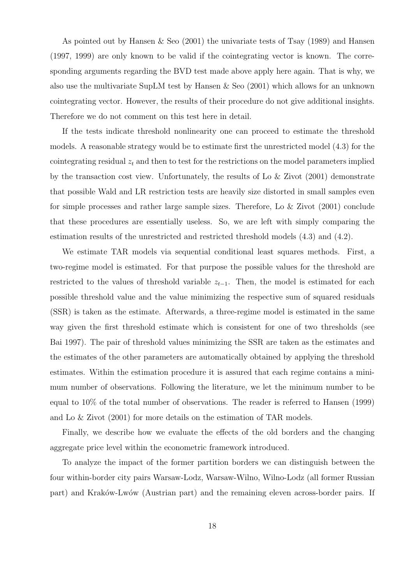As pointed out by Hansen & Seo (2001) the univariate tests of Tsay (1989) and Hansen (1997, 1999) are only known to be valid if the cointegrating vector is known. The corresponding arguments regarding the BVD test made above apply here again. That is why, we also use the multivariate SupLM test by Hansen & Seo (2001) which allows for an unknown cointegrating vector. However, the results of their procedure do not give additional insights. Therefore we do not comment on this test here in detail.

If the tests indicate threshold nonlinearity one can proceed to estimate the threshold models. A reasonable strategy would be to estimate first the unrestricted model (4.3) for the cointegrating residual  $z_t$  and then to test for the restrictions on the model parameters implied by the transaction cost view. Unfortunately, the results of Lo & Zivot (2001) demonstrate that possible Wald and LR restriction tests are heavily size distorted in small samples even for simple processes and rather large sample sizes. Therefore, Lo & Zivot (2001) conclude that these procedures are essentially useless. So, we are left with simply comparing the estimation results of the unrestricted and restricted threshold models (4.3) and (4.2).

We estimate TAR models via sequential conditional least squares methods. First, a two-regime model is estimated. For that purpose the possible values for the threshold are restricted to the values of threshold variable  $z_{t-1}$ . Then, the model is estimated for each possible threshold value and the value minimizing the respective sum of squared residuals (SSR) is taken as the estimate. Afterwards, a three-regime model is estimated in the same way given the first threshold estimate which is consistent for one of two thresholds (see Bai 1997). The pair of threshold values minimizing the SSR are taken as the estimates and the estimates of the other parameters are automatically obtained by applying the threshold estimates. Within the estimation procedure it is assured that each regime contains a minimum number of observations. Following the literature, we let the minimum number to be equal to 10% of the total number of observations. The reader is referred to Hansen (1999) and Lo & Zivot (2001) for more details on the estimation of TAR models.

Finally, we describe how we evaluate the effects of the old borders and the changing aggregate price level within the econometric framework introduced.

To analyze the impact of the former partition borders we can distinguish between the four within-border city pairs Warsaw-Lodz, Warsaw-Wilno, Wilno-Lodz (all former Russian part) and Kraków-Lwów (Austrian part) and the remaining eleven across-border pairs. If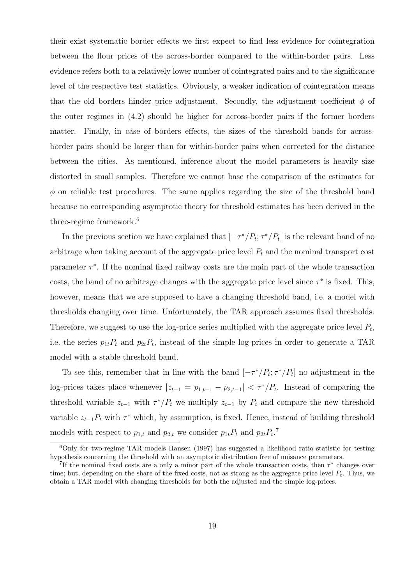their exist systematic border effects we first expect to find less evidence for cointegration between the flour prices of the across-border compared to the within-border pairs. Less evidence refers both to a relatively lower number of cointegrated pairs and to the significance level of the respective test statistics. Obviously, a weaker indication of cointegration means that the old borders hinder price adjustment. Secondly, the adjustment coefficient  $\phi$  of the outer regimes in (4.2) should be higher for across-border pairs if the former borders matter. Finally, in case of borders effects, the sizes of the threshold bands for acrossborder pairs should be larger than for within-border pairs when corrected for the distance between the cities. As mentioned, inference about the model parameters is heavily size distorted in small samples. Therefore we cannot base the comparison of the estimates for  $\phi$  on reliable test procedures. The same applies regarding the size of the threshold band because no corresponding asymptotic theory for threshold estimates has been derived in the three-regime framework.<sup>6</sup>

In the previous section we have explained that  $[-\tau^*/P_t; \tau^*/P_t]$  is the relevant band of no arbitrage when taking account of the aggregate price level  $P_t$  and the nominal transport cost parameter  $\tau^*$ . If the nominal fixed railway costs are the main part of the whole transaction costs, the band of no arbitrage changes with the aggregate price level since  $\tau^*$  is fixed. This, however, means that we are supposed to have a changing threshold band, i.e. a model with thresholds changing over time. Unfortunately, the TAR approach assumes fixed thresholds. Therefore, we suggest to use the log-price series multiplied with the aggregate price level  $P_t$ , i.e. the series  $p_{1t}P_t$  and  $p_{2t}P_t$ , instead of the simple log-prices in order to generate a TAR model with a stable threshold band.

To see this, remember that in line with the band  $[-\tau^*/P_t; \tau^*/P_t]$  no adjustment in the log-prices takes place whenever  $|z_{t-1} = p_{1,t-1} - p_{2,t-1}| < \tau^*/P_t$ . Instead of comparing the threshold variable  $z_{t-1}$  with  $\tau^*/P_t$  we multiply  $z_{t-1}$  by  $P_t$  and compare the new threshold variable  $z_{t-1}P_t$  with  $\tau^*$  which, by assumption, is fixed. Hence, instead of building threshold models with respect to  $p_{1,t}$  and  $p_{2,t}$  we consider  $p_{1t}P_t$  and  $p_{2t}P_t$ .<sup>7</sup>

 $6$ Only for two-regime TAR models Hansen (1997) has suggested a likelihood ratio statistic for testing hypothesis concerning the threshold with an asymptotic distribution free of nuisance parameters.

<sup>&</sup>lt;sup>7</sup>If the nominal fixed costs are a only a minor part of the whole transaction costs, then  $\tau^*$  changes over time; but, depending on the share of the fixed costs, not as strong as the aggregate price level  $P_t$ . Thus, we obtain a TAR model with changing thresholds for both the adjusted and the simple log-prices.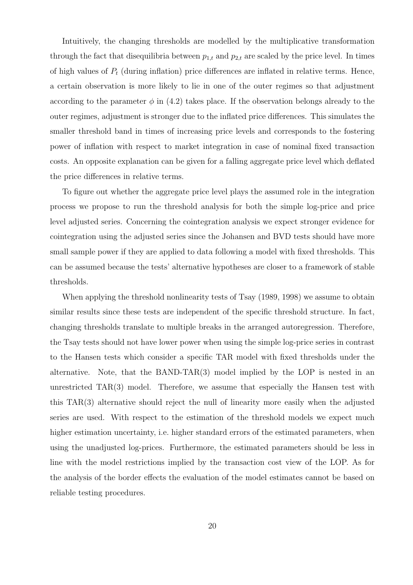Intuitively, the changing thresholds are modelled by the multiplicative transformation through the fact that disequilibria between  $p_{1,t}$  and  $p_{2,t}$  are scaled by the price level. In times of high values of  $P_t$  (during inflation) price differences are inflated in relative terms. Hence, a certain observation is more likely to lie in one of the outer regimes so that adjustment according to the parameter  $\phi$  in (4.2) takes place. If the observation belongs already to the outer regimes, adjustment is stronger due to the inflated price differences. This simulates the smaller threshold band in times of increasing price levels and corresponds to the fostering power of inflation with respect to market integration in case of nominal fixed transaction costs. An opposite explanation can be given for a falling aggregate price level which deflated the price differences in relative terms.

To figure out whether the aggregate price level plays the assumed role in the integration process we propose to run the threshold analysis for both the simple log-price and price level adjusted series. Concerning the cointegration analysis we expect stronger evidence for cointegration using the adjusted series since the Johansen and BVD tests should have more small sample power if they are applied to data following a model with fixed thresholds. This can be assumed because the tests' alternative hypotheses are closer to a framework of stable thresholds.

When applying the threshold nonlinearity tests of Tsay (1989, 1998) we assume to obtain similar results since these tests are independent of the specific threshold structure. In fact, changing thresholds translate to multiple breaks in the arranged autoregression. Therefore, the Tsay tests should not have lower power when using the simple log-price series in contrast to the Hansen tests which consider a specific TAR model with fixed thresholds under the alternative. Note, that the BAND-TAR $(3)$  model implied by the LOP is nested in an unrestricted TAR(3) model. Therefore, we assume that especially the Hansen test with this TAR(3) alternative should reject the null of linearity more easily when the adjusted series are used. With respect to the estimation of the threshold models we expect much higher estimation uncertainty, i.e. higher standard errors of the estimated parameters, when using the unadjusted log-prices. Furthermore, the estimated parameters should be less in line with the model restrictions implied by the transaction cost view of the LOP. As for the analysis of the border effects the evaluation of the model estimates cannot be based on reliable testing procedures.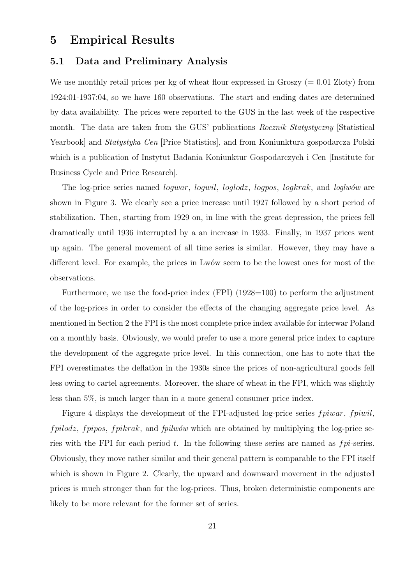### 5 Empirical Results

#### 5.1 Data and Preliminary Analysis

We use monthly retail prices per kg of wheat flour expressed in Groszy  $(= 0.01 \text{ Zloty})$  from 1924:01-1937:04, so we have 160 observations. The start and ending dates are determined by data availability. The prices were reported to the GUS in the last week of the respective month. The data are taken from the GUS' publications Rocznik Statystyczny [Statistical Yearbook] and *Statystyka Cen* [Price Statistics], and from Koniunktura gospodarcza Polski which is a publication of Instytut Badania Koniunktur Gospodarczych i Cen [Institute for Business Cycle and Price Research].

The log-price series named *logwar*, *logwil*, *loglodz*, *logpos*, *logkrak*, and *loglwow* are shown in Figure 3. We clearly see a price increase until 1927 followed by a short period of stabilization. Then, starting from 1929 on, in line with the great depression, the prices fell dramatically until 1936 interrupted by a an increase in 1933. Finally, in 1937 prices went up again. The general movement of all time series is similar. However, they may have a different level. For example, the prices in Lwów seem to be the lowest ones for most of the observations.

Furthermore, we use the food-price index (FPI) (1928=100) to perform the adjustment of the log-prices in order to consider the effects of the changing aggregate price level. As mentioned in Section 2 the FPI is the most complete price index available for interwar Poland on a monthly basis. Obviously, we would prefer to use a more general price index to capture the development of the aggregate price level. In this connection, one has to note that the FPI overestimates the deflation in the 1930s since the prices of non-agricultural goods fell less owing to cartel agreements. Moreover, the share of wheat in the FPI, which was slightly less than 5%, is much larger than in a more general consumer price index.

Figure 4 displays the development of the FPI-adjusted log-price series *fpiwar*, *fpiwil*,  $fpidoz, fpipos, fpikrak,$  and  $fpiwów$  which are obtained by multiplying the log-price series with the FPI for each period  $t$ . In the following these series are named as  $fpi$ -series. Obviously, they move rather similar and their general pattern is comparable to the FPI itself which is shown in Figure 2. Clearly, the upward and downward movement in the adjusted prices is much stronger than for the log-prices. Thus, broken deterministic components are likely to be more relevant for the former set of series.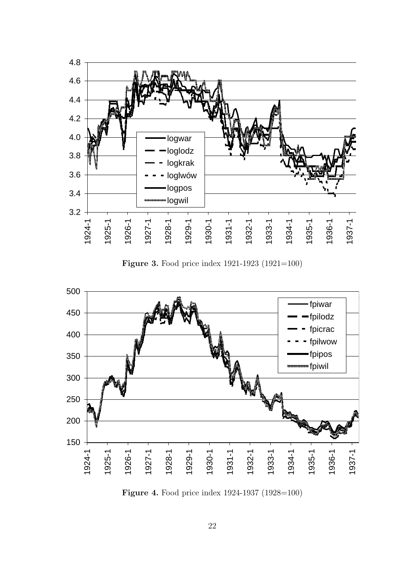

Figure 3. Food price index 1921-1923 (1921=100)



Figure 4. Food price index 1924-1937 (1928=100)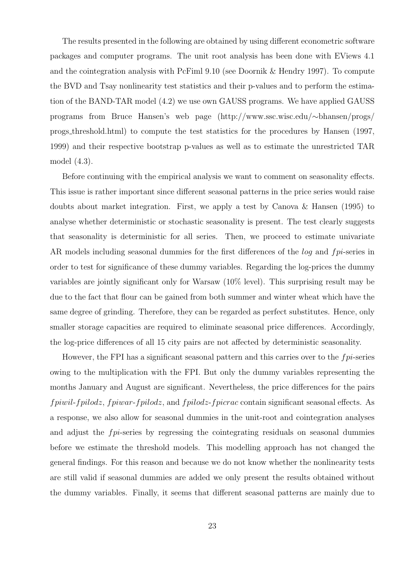The results presented in the following are obtained by using different econometric software packages and computer programs. The unit root analysis has been done with EViews 4.1 and the cointegration analysis with PcFiml 9.10 (see Doornik & Hendry 1997). To compute the BVD and Tsay nonlinearity test statistics and their p-values and to perform the estimation of the BAND-TAR model (4.2) we use own GAUSS programs. We have applied GAUSS programs from Bruce Hansen's web page (http://www.ssc.wisc.edu/∼bhansen/progs/ progs threshold.html) to compute the test statistics for the procedures by Hansen (1997, 1999) and their respective bootstrap p-values as well as to estimate the unrestricted TAR model (4.3).

Before continuing with the empirical analysis we want to comment on seasonality effects. This issue is rather important since different seasonal patterns in the price series would raise doubts about market integration. First, we apply a test by Canova & Hansen (1995) to analyse whether deterministic or stochastic seasonality is present. The test clearly suggests that seasonality is deterministic for all series. Then, we proceed to estimate univariate AR models including seasonal dummies for the first differences of the *log* and *fpi*-series in order to test for significance of these dummy variables. Regarding the log-prices the dummy variables are jointly significant only for Warsaw (10% level). This surprising result may be due to the fact that flour can be gained from both summer and winter wheat which have the same degree of grinding. Therefore, they can be regarded as perfect substitutes. Hence, only smaller storage capacities are required to eliminate seasonal price differences. Accordingly, the log-price differences of all 15 city pairs are not affected by deterministic seasonality.

However, the FPI has a significant seasonal pattern and this carries over to the  $fpi$ -series owing to the multiplication with the FPI. But only the dummy variables representing the months January and August are significant. Nevertheless, the price differences for the pairs fpiwil-fpilodz, fpiwar-fpilodz, and fpilodz-fpicrac contain significant seasonal effects. As a response, we also allow for seasonal dummies in the unit-root and cointegration analyses and adjust the fpi-series by regressing the cointegrating residuals on seasonal dummies before we estimate the threshold models. This modelling approach has not changed the general findings. For this reason and because we do not know whether the nonlinearity tests are still valid if seasonal dummies are added we only present the results obtained without the dummy variables. Finally, it seems that different seasonal patterns are mainly due to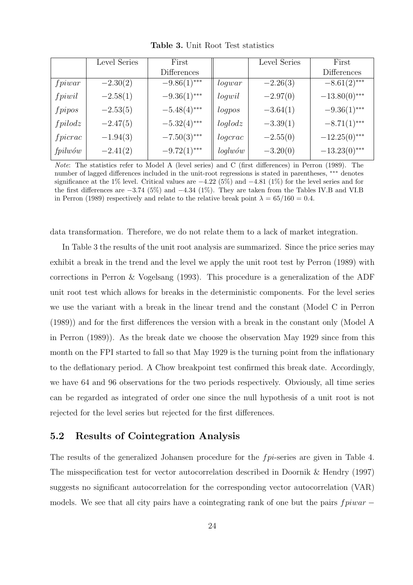|                    | Level Series | First          |            | Level Series | First           |
|--------------------|--------------|----------------|------------|--------------|-----------------|
|                    |              | Differences    |            |              | Differences     |
| fpiwar             | $-2.30(2)$   | $-9.86(1)$ *** | logwar     | $-2.26(3)$   | $-8.61(2)$ ***  |
| fpiwil             | $-2.58(1)$   | $-9.36(1)$ *** | logwil     | $-2.97(0)$   | $-13.80(0)$ *** |
| $f$ pipos          | $-2.53(5)$   | $-5.48(4)$ *** | logpos     | $-3.64(1)$   | $-9.36(1)$ ***  |
| fpidodz            | $-2.47(5)$   | $-5.32(4)$ *** | loglodz    | $-3.39(1)$   | $-8.71(1)$ ***  |
| fpicrac            | $-1.94(3)$   | $-7.50(3)$ *** | logcrac    | $-2.55(0)$   | $-12.25(0)$ *** |
| $fpi w \acute{o}w$ | $-2.41(2)$   | $-9.72(1)$ *** | $loglw$ ów | $-3.20(0)$   | $-13.23(0)$ *** |

Table 3. Unit Root Test statistics

Note: The statistics refer to Model A (level series) and C (first differences) in Perron (1989). The number of lagged differences included in the unit-root regressions is stated in parentheses, ∗∗∗ denotes significance at the 1% level. Critical values are  $-4.22\,(5\%)$  and  $-4.81\,(1\%)$  for the level series and for the first differences are −3.74 (5%) and −4.34 (1%). They are taken from the Tables IV.B and VI.B in Perron (1989) respectively and relate to the relative break point  $\lambda = 65/160 = 0.4$ .

data transformation. Therefore, we do not relate them to a lack of market integration.

In Table 3 the results of the unit root analysis are summarized. Since the price series may exhibit a break in the trend and the level we apply the unit root test by Perron (1989) with corrections in Perron & Vogelsang (1993). This procedure is a generalization of the ADF unit root test which allows for breaks in the deterministic components. For the level series we use the variant with a break in the linear trend and the constant (Model C in Perron (1989)) and for the first differences the version with a break in the constant only (Model A in Perron (1989)). As the break date we choose the observation May 1929 since from this month on the FPI started to fall so that May 1929 is the turning point from the inflationary to the deflationary period. A Chow breakpoint test confirmed this break date. Accordingly, we have 64 and 96 observations for the two periods respectively. Obviously, all time series can be regarded as integrated of order one since the null hypothesis of a unit root is not rejected for the level series but rejected for the first differences.

#### 5.2 Results of Cointegration Analysis

The results of the generalized Johansen procedure for the fpi-series are given in Table 4. The misspecification test for vector autocorrelation described in Doornik & Hendry (1997) suggests no significant autocorrelation for the corresponding vector autocorrelation (VAR) models. We see that all city pairs have a cointegrating rank of one but the pairs  $fpiwar -$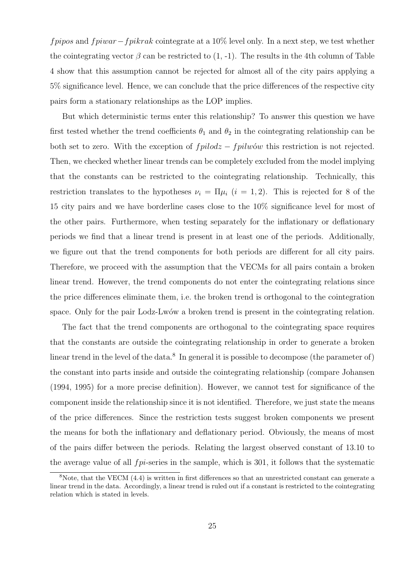fpipos and fpiwar – fpikrak cointegrate at a 10% level only. In a next step, we test whether the cointegrating vector  $\beta$  can be restricted to (1, -1). The results in the 4th column of Table 4 show that this assumption cannot be rejected for almost all of the city pairs applying a 5% significance level. Hence, we can conclude that the price differences of the respective city pairs form a stationary relationships as the LOP implies.

But which deterministic terms enter this relationship? To answer this question we have first tested whether the trend coefficients  $\theta_1$  and  $\theta_2$  in the cointegrating relationship can be both set to zero. With the exception of  $fpidodz - fpilwów$  this restriction is not rejected. Then, we checked whether linear trends can be completely excluded from the model implying that the constants can be restricted to the cointegrating relationship. Technically, this restriction translates to the hypotheses  $\nu_i = \Pi \mu_i$  ( $i = 1, 2$ ). This is rejected for 8 of the 15 city pairs and we have borderline cases close to the 10% significance level for most of the other pairs. Furthermore, when testing separately for the inflationary or deflationary periods we find that a linear trend is present in at least one of the periods. Additionally, we figure out that the trend components for both periods are different for all city pairs. Therefore, we proceed with the assumption that the VECMs for all pairs contain a broken linear trend. However, the trend components do not enter the cointegrating relations since the price differences eliminate them, i.e. the broken trend is orthogonal to the cointegration space. Only for the pair Lodz-Lwów a broken trend is present in the cointegrating relation.

The fact that the trend components are orthogonal to the cointegrating space requires that the constants are outside the cointegrating relationship in order to generate a broken linear trend in the level of the data.<sup>8</sup> In general it is possible to decompose (the parameter of) the constant into parts inside and outside the cointegrating relationship (compare Johansen (1994, 1995) for a more precise definition). However, we cannot test for significance of the component inside the relationship since it is not identified. Therefore, we just state the means of the price differences. Since the restriction tests suggest broken components we present the means for both the inflationary and deflationary period. Obviously, the means of most of the pairs differ between the periods. Relating the largest observed constant of 13.10 to the average value of all  $fpi$ -series in the sample, which is 301, it follows that the systematic

<sup>8</sup>Note, that the VECM (4.4) is written in first differences so that an unrestricted constant can generate a linear trend in the data. Accordingly, a linear trend is ruled out if a constant is restricted to the cointegrating relation which is stated in levels.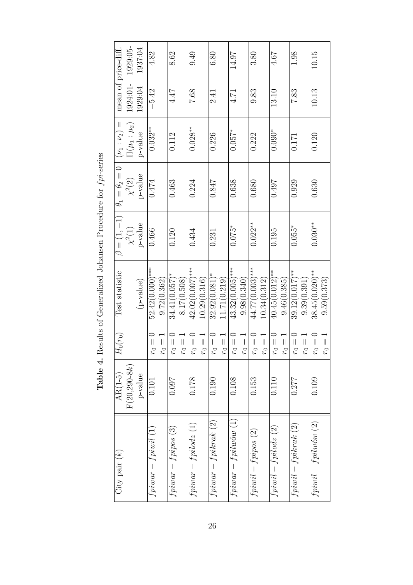| mean of price-diff.       | 1929:05-<br>1924:01- | 1937:04<br>1929:04 | 4.82<br>$-5.42$             |             | 8.62<br>4.47                |             | 9.49<br>7.68                 |              | 6.80<br>2.41<br>२           |              | 14.97<br>4.71          |             | 3.80<br>9.83             |              | 4.67<br>13.10             |             | 1.98<br>7.83      |                              | 10.15<br>10.13        |
|---------------------------|----------------------|--------------------|-----------------------------|-------------|-----------------------------|-------------|------------------------------|--------------|-----------------------------|--------------|------------------------|-------------|--------------------------|--------------|---------------------------|-------------|-------------------|------------------------------|-----------------------|
| $(\nu_1 : \nu_2) =$       | $\Pi(\mu_1:\mu_2)$   | p-value            | $0.032***$                  |             | 0.112                       |             | $0.028***$                   |              | 0.226                       |              | $0.057*$               |             | 0.222                    |              | $0.090*$                  |             | 0.171             |                              | 0.120                 |
| $\theta_1 = \theta_2 = 0$ | $\chi^2(2)$          | p-value            | 0.474                       |             | 0.463                       |             | 0.224                        |              | 0.847                       |              | 0.638                  |             | 0.680                    |              | 1670                      |             | 0.929             |                              | 0.630                 |
| $\beta = (1, -1)$         | $\chi^2(1)$          | p-value            | 0.466                       |             | 0.120                       |             | 0.434                        |              | 0.231                       |              | $0.075*$               |             | $0.022**$                |              | 0.195                     |             | $0.055*$          |                              | $0.030**$             |
| Test statistic            |                      | (p-value)          | $52.42(0.000)$ ***          | 9.72(0.362) | $34.41(0.057)$ <sup>*</sup> | 8.17(0.508) | $42.02(0.007)$ ***           | 10.29(0.316) | $32.92(0.081)$ <sup>*</sup> | 11.71(0.219) | $43.32(0.005)$ ***     | 9.98(0.340) | $44.77(0.003)$ ***       | 10.34(0.312) | $40.45(0.012)$ **         | 9.46(0.385) | $39.12(0.017)$ ** | 9.39(0.391)                  | $38.45(0.020)$ **     |
| $H_0(r_0)$                |                      |                    | $r_0 =$                     | $r_0 =$     | $r_0 =$                     | $r_0 =$     | $r_0 =$                      | $r_0 =$      | $r_0 =$                     | $r_0 =$      | $r_0 =$                | $r_0 =$     | $r_0 =$                  | $r_0 =$      | $r_0 =$                   | $r_0 =$     | $r_0 =$           | $r_0 =$                      | $r_0 =$               |
| $AR(1-5)$                 | $F(20, 290 - 8k)$    | p-value            | 0.101                       |             | 0.097                       |             | 0.178                        |              | 0.190                       |              | 0.108                  |             | 0.153                    |              | 0.110                     |             | 0.277             |                              | 0.109                 |
| $City$ pair $(k)$         |                      |                    | $f$ piwar — $f$ piwil $(1)$ |             | $f$ piwar – $f$ pipos $(3)$ |             | $f$ piwar — $f$ pilod $z(1)$ |              | $f$ pi $war-fpikrak$ (2)    |              | $fpiwar - fpilawow(1)$ |             | $f$ pi $wil-fpipos\ (2)$ |              | $f$ pi $wil-fpilodz\ (2)$ |             |                   | $f$ piwil – $f$ pikrak $(2)$ | $fpiwil - fpilwów(2)$ |

Table 4. Results of Generalized Johansen Procedure for  $fp$ -series **Table 4.** Results of Generalized Johansen Procedure for  $fp$ -series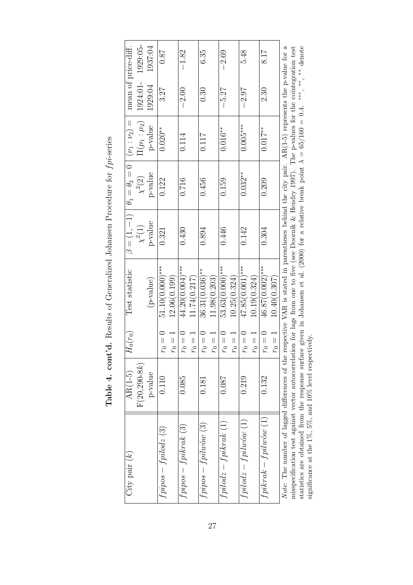| City pair $(k)$                                                                                                                                            | $AR(1-5)$         | $H_0(r_0)$ | Test statistic                                                                                       | $\beta = (1, -1)$ | $\theta_1=\theta_2=0$ | $(\nu_1 : \nu_2) =$       | mean of price-diff. |          |
|------------------------------------------------------------------------------------------------------------------------------------------------------------|-------------------|------------|------------------------------------------------------------------------------------------------------|-------------------|-----------------------|---------------------------|---------------------|----------|
|                                                                                                                                                            | $F(20, 290 - 8k)$ |            |                                                                                                      | $\chi^2(1)$       | $\chi^2(2)$           | $\mathbb{I}(\mu_1:\mu_2)$ | 1924:01-            | 1929:05- |
|                                                                                                                                                            | $p$ -value        |            | (p-value)                                                                                            | p-value           | p-value               | p-value                   | 1929:04             | 1937:04  |
| $f$ pipos – $f$ pilodz $(3)$                                                                                                                               | 0.110             | $r_0 = 0$  | $51.10(0.000)$ ***                                                                                   | 0.321             | 0.122                 | $0.020**$                 | 3.27                | 78.0     |
|                                                                                                                                                            |                   | $r_0 = 1$  | 12.06(0.199)                                                                                         |                   |                       |                           |                     |          |
| $fpipos-fpikrak(3)$                                                                                                                                        | 0.085             | $r_0=0$    | $44.20(0.004)$ ***                                                                                   | 0.430             | 0.716                 | 0.114                     | $-2.00$             | $-1.82$  |
|                                                                                                                                                            |                   | $r_0 = 1$  | 11.74(0.217)                                                                                         |                   |                       |                           |                     |          |
| $f$ pipos – $f$ pilwów (3)                                                                                                                                 | 0.181             | $r_0 = 0$  | $36.31(0.036)$ **                                                                                    | 0.894             | 0.456                 | 0.117                     | 0.30                | 6.35     |
|                                                                                                                                                            |                   | $r_0 =$    | 11.98(0.203)                                                                                         |                   |                       |                           |                     |          |
| $fpidodz - fpikrak (1)$                                                                                                                                    | 180.0             | $r_0=0$    | $53.63(0.000)$ ***                                                                                   | 0.446             | 0.159                 | $0.016**$                 | $-5.27$             | $-2.69$  |
|                                                                                                                                                            |                   | $r_0 =$    | 10.25(0.324)                                                                                         |                   |                       |                           |                     |          |
| $fpidodz - fpilwów(1)$                                                                                                                                     | 0.219             | $r_0=0$    | $47.85(0.001)$ ***                                                                                   | 0.142             | $0.032***$            | $0.005***$                | $-2.97$             | 5.48     |
|                                                                                                                                                            |                   | $r_0 =$    | 10.19(0.324)                                                                                         |                   |                       |                           |                     |          |
| $f$ pikr $ak-fpilw$ ó $w(1)$                                                                                                                               | 0.132             | $r_0=0$    | $46.87(0.002)$ ***                                                                                   | 0.304             | 0.209                 | $0.017**$                 | 2.30                | 8.17     |
|                                                                                                                                                            |                   | $r_0 = 1$  | 10.40(0.307)                                                                                         |                   |                       |                           |                     |          |
| Note: The number of lagged differences of the                                                                                                              |                   |            | respective VAR is stated in parentheses behind the city pair. $AR(1-5)$ represents the p-value for a |                   |                       |                           |                     |          |
| misspecification test against vector autocorrelation for lags from one to five (see Doornik & Hendry 1997). The p-values for the cointegration test        |                   |            |                                                                                                      |                   |                       |                           |                     |          |
| statistics are obtained from the response surface given in Johansen et al. (2000) for a relative break point $\lambda = 65/160 = 0.4$ . ***, **, ** denote |                   |            |                                                                                                      |                   |                       |                           |                     |          |
| significance at the 1%, 5%, and 10% level respectively.                                                                                                    |                   |            |                                                                                                      |                   |                       |                           |                     |          |

Table 4. cont'd. Results of Generalized Johansen Procedure for  $fp$ -series Table 4. cont'd. Results of Generalized Johansen Procedure for  $fpi$ -series

27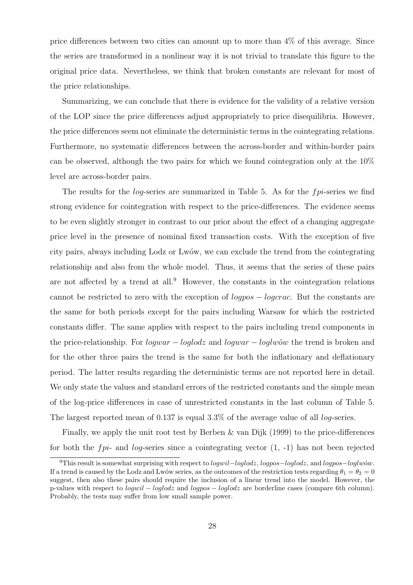price differences between two cities can amount up to more than 4% of this average. Since the series are transformed in a nonlinear way it is not trivial to translate this figure to the original price data. Nevertheless, we think that broken constants are relevant for most of the price relationships.

Summarizing, we can conclude that there is evidence for the validity of a relative version of the LOP since the price differences adjust appropriately to price disequilibria. However, the price differences seem not eliminate the deterministic terms in the cointegrating relations. Furthermore, no systematic differences between the across-border and within-border pairs can be observed, although the two pairs for which we found cointegration only at the 10% level are across-border pairs.

The results for the log-series are summarized in Table 5. As for the fpi-series we find strong evidence for cointegration with respect to the price-differences. The evidence seems to be even slightly stronger in contrast to our prior about the effect of a changing aggregate price level in the presence of nominal fixed transaction costs. With the exception of five city pairs, always including Lodz or Lwów, we can exclude the trend from the cointegrating relationship and also from the whole model. Thus, it seems that the series of these pairs are not affected by a trend at all.<sup>9</sup> However, the constants in the cointegration relations cannot be restricted to zero with the exception of logpos − logcrac. But the constants are the same for both periods except for the pairs including Warsaw for which the restricted constants differ. The same applies with respect to the pairs including trend components in the price-relationship. For *logwar* − *loglodz* and *logwar* − *loglw*<sub>ow</sub> the trend is broken and for the other three pairs the trend is the same for both the inflationary and deflationary period. The latter results regarding the deterministic terms are not reported here in detail. We only state the values and standard errors of the restricted constants and the simple mean of the log-price differences in case of unrestricted constants in the last column of Table 5. The largest reported mean of 0.137 is equal  $3.3\%$  of the average value of all *log-series*.

Finally, we apply the unit root test by Berben & van Dijk  $(1999)$  to the price-differences for both the *fpi*- and *log*-series since a cointegrating vector  $(1, -1)$  has not been rejected

<sup>&</sup>lt;sup>9</sup>This result is somewhat surprising with respect to *logwil–loglodz*, *logpos–loglodz*, and *logpos–loglw*ów. If a trend is caused by the Lodz and Lwów series, as the outcomes of the restriction tests regarding  $\theta_1 = \theta_2 = 0$ suggest, then also these pairs should require the inclusion of a linear trend into the model. However, the p-values with respect to logwil − loglodz and logpos − loglodz are borderline cases (compare 6th column). Probably, the tests may suffer from low small sample power.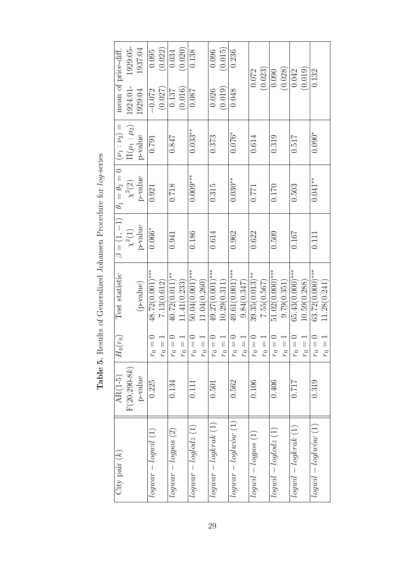| $City$ pair $(k)$               | $AR(1-5)$         | $H_0(r_0)$                     | Test statistic     |                                  | $\theta_1 = \theta_2 = 0$ | $(\nu_1 : \nu_2) =$ | mean of price-diff. |          |
|---------------------------------|-------------------|--------------------------------|--------------------|----------------------------------|---------------------------|---------------------|---------------------|----------|
|                                 | $F(20, 290 - 8k)$ |                                |                    | $\beta = (1, -1)$<br>$\chi^2(1)$ | $\chi^2(2)$               | $\Pi(\mu_1:\mu_2)$  | 1924:01-            | 1929:05- |
|                                 | p-value           |                                | (p-value)          | $p$ -value                       | p-value                   | p-value             | 1929:04             | 1937:04  |
| $logwar - logwil$ $(1)$         | 0.225             | $r_0 =$                        | $48.72(0.001)$ *** | $0.066*$                         | 0.921                     | 0.791               | $-0.072$            | 0.095    |
|                                 |                   | $r_0 =$ .                      | 7.13(0.612)        |                                  |                           |                     | (0.027)             | (0.022)  |
| $loguur - logpos(2)$            | 0.134             | $r_0 =$                        | $40.72(0.011)$ **  | 0.941                            | 0.718                     | 0.847               | 0.137               | 0.034    |
|                                 |                   | $= 0.1$                        | 11.41(0.233)       |                                  |                           |                     | (0.016)             | (0.020)  |
| $logwar - loglodz(1)$           | 0.111             | $r_0 =$                        | $50.04(0.001)$ *** | 0.186                            | $0.009***$                | $0.033***$          | 780.0               | 0.138    |
|                                 |                   | $= 0,$                         | 11.04(0.260)       |                                  |                           |                     |                     |          |
| $logwar - logkrak(1)$           | 0.501             | $r_0 =$                        | $49.27(0.001)$ *** | 0.614                            | 0.315                     | 0.373               | 0.026               | 0.096    |
|                                 |                   | $= 0,$                         | 10.29(0.311)       |                                  |                           |                     | (0.019)             | (0.015)  |
| $logwar - loglw\acute{o}w\ (1)$ | 0.562             | $r_0 =$                        | $49.61(0.001)$ *** | 0.962                            | $0.030***$                | $0.076*$            | 0.048               | 0.236    |
|                                 |                   | $\overline{\phantom{0}}$       | 9.84(0.347)        |                                  |                           |                     |                     |          |
| $logwil - logpos(1)$            | 0.106             | $r_0 =$                        | $39.35(0.013)$ **  | 0.622                            | 0.771                     | 0.614               |                     | 0.072    |
|                                 |                   | $r_0 =$                        | 7.55(0.567)        |                                  |                           |                     |                     | (0.023)  |
| $logwil - loglodz(1)$           | 0.406             | $r_0 =$                        | $51.02(0.000)$ *** | 0.509                            | 0.170                     | 0.319               |                     | 0.090    |
|                                 |                   | $r_0 =$                        | 9.79(0.351)        |                                  |                           |                     |                     | (0.028)  |
| $logwil - logkrak(1)$           | 0.717             | $r_0 =$                        | $65.43(0.000)$ *** | 0.167                            | 0.503                     | 0.517               |                     | 0.042    |
|                                 |                   | $r_0 =$                        | 10.59(0.288)       |                                  |                           |                     |                     | (0.019)  |
| $logwil - logluow(1)$           | 0.319             | $r_0 =$                        | $63.72(0.000)$ *** | 0.111                            | $0.041***$                | $0.090*$            |                     | 0.132    |
|                                 |                   | $\overline{\phantom{0}}$ = 0.1 | 11.28(0.241)       |                                  |                           |                     |                     |          |

Table 5. Results of Generalized Johansen Procedure for log-series **Table 5.** Results of Generalized Johansen Procedure for *log*-series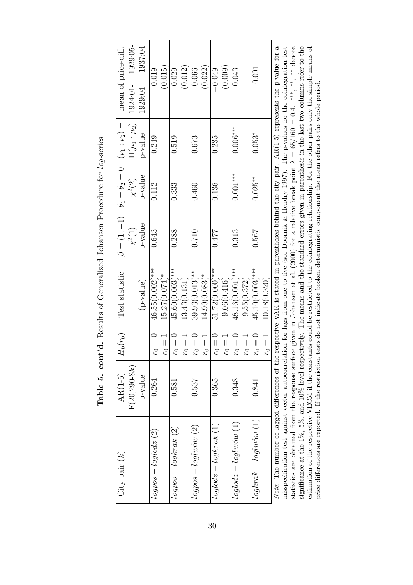| City pair $(k)$                                                                                                                                                                                                                                                                                               | $AR(1-5)$         | $H_0(r_0)$ | Test statistic                                                                           |             | $\beta=(1,-1)\mid \theta_1=\theta_2=0\mid (\nu_1:\nu_2)=1$ |                    | mean of price-diff.                                                                                  |
|---------------------------------------------------------------------------------------------------------------------------------------------------------------------------------------------------------------------------------------------------------------------------------------------------------------|-------------------|------------|------------------------------------------------------------------------------------------|-------------|------------------------------------------------------------|--------------------|------------------------------------------------------------------------------------------------------|
|                                                                                                                                                                                                                                                                                                               | $F(20, 290 - 8k)$ |            |                                                                                          | $\chi^2(1)$ | $\chi^2(2)$                                                | $\Pi(\mu_1:\mu_2)$ | 1929:05-<br>1924:01-                                                                                 |
|                                                                                                                                                                                                                                                                                                               | p-value           |            | (p-value)                                                                                | $p$ -value  | p-value                                                    | p-value            | 1937:04<br>1929:04                                                                                   |
| $logpos - loglodz(2)$                                                                                                                                                                                                                                                                                         | 0.264             | $r_0 = 0$  | $46.55(0.002)$ ***                                                                       | 0.643       | 0.112                                                      | 0.249              | 0.019                                                                                                |
|                                                                                                                                                                                                                                                                                                               |                   | $r_0 =$    | $15.27(0.074)$ *                                                                         |             |                                                            |                    | (0.015)                                                                                              |
| $logpos - logkrak(2)$                                                                                                                                                                                                                                                                                         | 0.581             | $r_0 = 0$  | $45.60(0.003)$ ***                                                                       | 0.288       | 0.333                                                      | 0.519              | $-0.029$                                                                                             |
|                                                                                                                                                                                                                                                                                                               |                   | $r_0 =$    | 13.43(0.131)                                                                             |             |                                                            |                    | (0.012)                                                                                              |
| $logpos - loglw_0(w(2))$                                                                                                                                                                                                                                                                                      | 0.537             | $r_0=0$    | $39.93(0.013)$ **                                                                        | 0.710       | 0.460                                                      | 0.673              | 0.066                                                                                                |
|                                                                                                                                                                                                                                                                                                               |                   | $r_0 =$    | $14.90(0.083)*$                                                                          |             |                                                            |                    | (0.022)                                                                                              |
| $loglodz - logkrak(1)$                                                                                                                                                                                                                                                                                        | 0.365             | $r_0 = 0$  | $51.72(0.000)$ ***                                                                       | 0.477       | 0.136                                                      | 0.235              | $-0.049$                                                                                             |
|                                                                                                                                                                                                                                                                                                               |                   | $r_0 =$    | 9.06(0.416)                                                                              |             |                                                            |                    | (0.009)                                                                                              |
| $loglodz - loglw(1)$                                                                                                                                                                                                                                                                                          | 0.348             | $r_0=0$    | 48.16(0.001)***                                                                          | 0.313       | $0.001***$                                                 | $0.006***$         | 0.043                                                                                                |
|                                                                                                                                                                                                                                                                                                               |                   | $r_0=1$    | 9.55(0.372)                                                                              |             |                                                            |                    |                                                                                                      |
| $logk rak - loglw6w(1)$                                                                                                                                                                                                                                                                                       | 0.841             | $r_0=0$    | $45.10(0.003)$ ***                                                                       | 0.567       | $0.025**$                                                  | $0.053*$           | 0.091                                                                                                |
|                                                                                                                                                                                                                                                                                                               |                   | $r_0 = 1$  | 10.18(0.320)                                                                             |             |                                                            |                    |                                                                                                      |
| Note: The number of lagged differences of the                                                                                                                                                                                                                                                                 |                   |            |                                                                                          |             |                                                            |                    | respective VAR is stated in parentheses behind the city pair. $AR(1-5)$ represents the p-value for a |
| statistics are obtained from the response surface given in Johansen et al. (2000) for a relative break point $\lambda = 65/160 = 0.4$ . ***, ** denote<br>misspecification test against vector autocorrelation for lags from one to five (see Doornik & Hendry 1997). The p-values for the cointegration test |                   |            |                                                                                          |             |                                                            |                    |                                                                                                      |
| significance at the 1%, 5%, and 10% level respectively. The means and the standard errors given in parenthesis in the last two columns refer to the                                                                                                                                                           |                   |            |                                                                                          |             |                                                            |                    |                                                                                                      |
| estimation of the respective VECM if the constants could be restricted to the cointegrating relationship. For the other pairs only the simple means of                                                                                                                                                        |                   |            |                                                                                          |             |                                                            |                    |                                                                                                      |
| price differences are reported. If the restriction a                                                                                                                                                                                                                                                          |                   |            | tests do not indicate broken deterministic component the mean refers to the whole period |             |                                                            |                    |                                                                                                      |

Table 5. cont'd. Results of Generalized Johansen Procedure for log-series Table 5. cont'd. Results of Generalized Johansen Procedure for log-series

30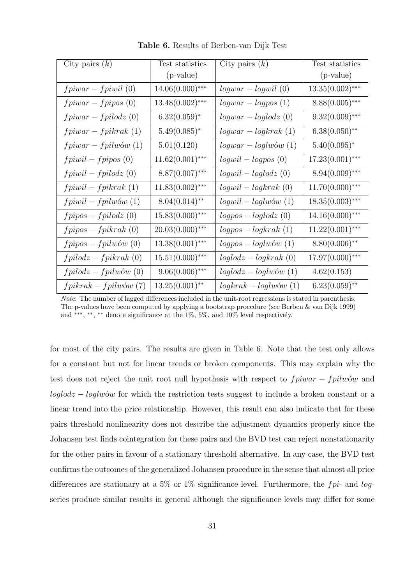| City pairs $(k)$        | Test statistics    | City pairs $(k)$       | Test statistics    |
|-------------------------|--------------------|------------------------|--------------------|
|                         | $(p-value)$        |                        | (p-value)          |
| $fpiwar - fpiwil$ (0)   | $14.06(0.000)$ *** | $logwar - logwil(0)$   | $13.35(0.002)$ *** |
| $fpiwar - fpipos(0)$    | $13.48(0.002)$ *** | $logwar - logpos(1)$   | $8.88(0.005)$ ***  |
| $fpiwar-fpilodz(0)$     | $6.32(0.059)^*$    | $logwar - loglodz(0)$  | $9.32(0.009)$ ***  |
| $fpiwar - fpikrak(1)$   | $5.49(0.085)^*$    | $logwar - logkrak(1)$  | $6.38(0.050)$ **   |
| $fpiwar-fpilwów(1)$     | 5.01(0.120)        | $logwar - loglw$ (1)   | $5.40(0.095)^*$    |
| $fpiwil-fpipos(0)$      | $11.62(0.001)$ *** | $logwil - logpos(0)$   | $17.23(0.001)$ *** |
| $fpiwil-fpilodz(0)$     | $8.87(0.007)$ ***  | $logwil - loglodz(0)$  | $8.94(0.009)$ ***  |
| $fpiwil-fpikrak(1)$     | $11.83(0.002)$ *** | $logwil - logkrak(0)$  | $11.70(0.000)$ *** |
| $fpi will - fpilwów(1)$ | $8.04(0.014)$ **   | $logwil - loglw$ (1)   | $18.35(0.003)$ *** |
| $fpipos-fpilodz(0)$     | $15.83(0.000)$ *** | $logpos - loglodz(0)$  | $14.16(0.000)$ *** |
| $fpipos-fpikrak(0)$     | $20.03(0.000)$ *** | $logpos - logkrak(1)$  | $11.22(0.001)$ *** |
| $fpipos-fpilwów(0)$     | $13.38(0.001)$ *** | $logpos - loglw$ (1)   | $8.80(0.006)$ **   |
| $fpidodz - fpikrak(0)$  | $15.51(0.000)$ *** | $loglodz - logkrak(0)$ | $17.97(0.000)$ *** |
| $fpidodz - fpilwów(0)$  | $9.06(0.006)$ ***  | $loglodz - loglw$ (1)  | 4.62(0.153)        |
| $fpikrak-fpilwów(7)$    | $13.25(0.001)$ **  | $logkrak - loglw$ (1)  | $6.23(0.059)$ **   |

Table 6. Results of Berben-van Dijk Test

Note: The number of lagged differences included in the unit-root regressions is stated in parenthesis. The p-values have been computed by applying a bootstrap procedure (see Berben & van Dijk 1999) and \*\*\*, \*\*, \*\* denote significance at the 1%, 5%, and 10% level respectively.

for most of the city pairs. The results are given in Table 6. Note that the test only allows for a constant but not for linear trends or broken components. This may explain why the test does not reject the unit root null hypothesis with respect to  $fpiwar - fpilwów$  and  $loglodz - loglwów$  for which the restriction tests suggest to include a broken constant or a linear trend into the price relationship. However, this result can also indicate that for these pairs threshold nonlinearity does not describe the adjustment dynamics properly since the Johansen test finds cointegration for these pairs and the BVD test can reject nonstationarity for the other pairs in favour of a stationary threshold alternative. In any case, the BVD test confirms the outcomes of the generalized Johansen procedure in the sense that almost all price differences are stationary at a 5% or 1% significance level. Furthermore, the  $fpi$ - and logseries produce similar results in general although the significance levels may differ for some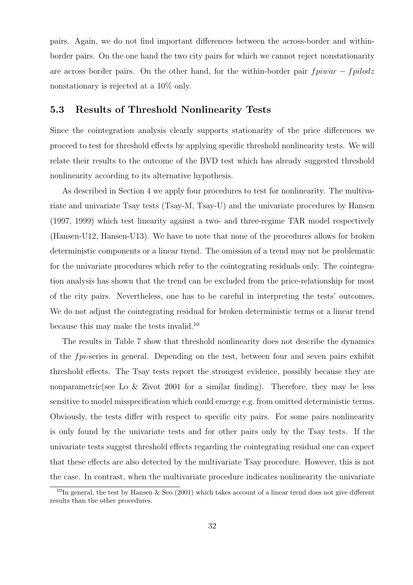pairs. Again, we do not find important differences between the across-border and withinborder pairs. On the one hand the two city pairs for which we cannot reject nonstationarity are across border pairs. On the other hand, for the within-border pair  $fpiwar - fpildz$ nonstationary is rejected at a 10% only.

#### 5.3 Results of Threshold Nonlinearity Tests

Since the cointegration analysis clearly supports stationarity of the price differences we proceed to test for threshold effects by applying specific threshold nonlinearity tests. We will relate their results to the outcome of the BVD test which has already suggested threshold nonlinearity according to its alternative hypothesis.

As described in Section 4 we apply four procedures to test for nonlinearity. The multivariate and univariate Tsay tests (Tsay-M, Tsay-U) and the univariate procedures by Hansen (1997, 1999) which test linearity against a two- and three-regime TAR model respectively (Hansen-U12, Hansen-U13). We have to note that none of the procedures allows for broken deterministic components or a linear trend. The omission of a trend may not be problematic for the univariate procedures which refer to the cointegrating residuals only. The cointegration analysis has shown that the trend can be excluded from the price-relationship for most of the city pairs. Nevertheless, one has to be careful in interpreting the tests' outcomes. We do not adjust the cointegrating residual for broken deterministic terms or a linear trend because this may make the tests invalid.<sup>10</sup>

The results in Table 7 show that threshold nonlinearity does not describe the dynamics of the fpi-series in general. Depending on the test, between four and seven pairs exhibit threshold effects. The Tsay tests report the strongest evidence, possibly because they are nonparametric(see Lo & Zivot 2001 for a similar finding). Therefore, they may be less sensitive to model misspecification which could emerge e.g. from omitted deterministic terms. Obviously, the tests differ with respect to specific city pairs. For some pairs nonlinearity is only found by the univariate tests and for other pairs only by the Tsay tests. If the univariate tests suggest threshold effects regarding the cointegrating residual one can expect that these effects are also detected by the multivariate Tsay procedure. However, this is not the case. In contrast, when the multivariate procedure indicates nonlinearity the univariate

<sup>&</sup>lt;sup>10</sup>In general, the test by Hansen & Seo (2001) which takes account of a linear trend does not give different results than the other procedures.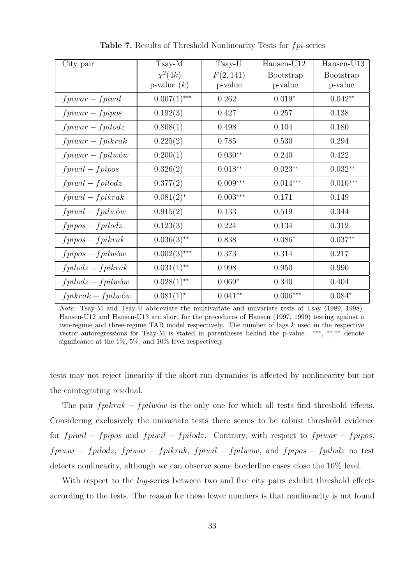| City pair                     | $Tsay-M$       | Tsay-U     | $Hansen-U12$     | Hansen-U13       |
|-------------------------------|----------------|------------|------------------|------------------|
|                               | $\chi^2(4k)$   | F(2, 141)  | <b>Bootstrap</b> | <b>Bootstrap</b> |
|                               | p-value $(k)$  | p-value    | p-value          | p-value          |
| $fpiwar-fpiwil$               | $0.007(1)$ *** | 0.262      | $0.019*$         | $0.042**$        |
| $fpiwar-fpipos$               | 0.192(3)       | 0.427      | 0.257            | 0.138            |
| $fpiwar-fpilodz$              | 0.808(1)       | 0.498      | 0.104            | 0.180            |
| $fpiwar-fpikrak$              | 0.225(2)       | 0.785      | 0.530            | 0.294            |
| $fpiwar-fpilwów$              | 0.200(1)       | $0.030**$  | 0.240            | 0.422            |
| $fpiwil-fpipos$               | 0.326(2)       | $0.018**$  | $0.023**$        | $0.032**$        |
| $fpiwil-fpilodz$              | 0.377(2)       | $0.009***$ | $0.014***$       | $0.010***$       |
| $fpiwil-fpikrak$              | $0.081(2)^{*}$ | $0.003***$ | 0.171            | 0.149            |
| $fpi will - fpi w \acute{o}w$ | 0.915(2)       | 0.133      | 0.519            | 0.344            |
| $fpipos-fpilodz$              | 0.123(3)       | 0.224      | 0.134            | 0.312            |
| $fpipos-fpikrak$              | $0.036(3)$ **  | 0.838      | $0.086*$         | $0.037**$        |
| $fpipos-fpilwów$              | $0.002(3)$ *** | 0.373      | 0.314            | 0.217            |
| $fpidodz-fpikrak$             | $0.031(1)$ **  | 0.998      | 0.950            | 0.990            |
| $fpidodz - fpilwów$           | $0.028(1)$ **  | $0.069*$   | 0.340            | 0.404            |
| $fpikrak-fpilwów$             | $0.081(1)^*$   | $0.041**$  | $0.006***$       | $0.084*$         |

Table 7. Results of Threshold Nonlinearity Tests for fpi-series

Note: Tsay-M and Tsay-U abbreviate the multivariate and univariate tests of Tsay (1989, 1998). Hansen-U12 and Hansen-U13 are short for the procedures of Hansen (1997, 1999) testing against a two-regime and three-regime TAR model respectively. The number of lags  $k$  used in the respective vector autoregressions for Tsay-M is stated in parentheses behind the p-value. \*\*\*, \*\*,\*\* denote significance at the 1%, 5%, and 10% level respectively.

tests may not reject linearity if the short-run dynamics is affected by nonlinearity but not the cointegrating residual.

The pair  $fpikrak - fpilwów$  is the only one for which all tests find threshold effects. Considering exclusively the univariate tests there seems to be robust threshold evidence for  $fpiwil - fpipos$  and  $fpiwil - fpidodz$ . Contrary, with respect to  $fpiwar - fpipos$ , fpiwar − fpilodz, fpiwar − fpikrak, fpiwil − fpilwow, and fpipos − fpilodz no test detects nonlinearity, although we can observe some borderline cases close the 10% level.

With respect to the *log*-series between two and five city pairs exhibit threshold effects according to the tests. The reason for these lower numbers is that nonlinearity is not found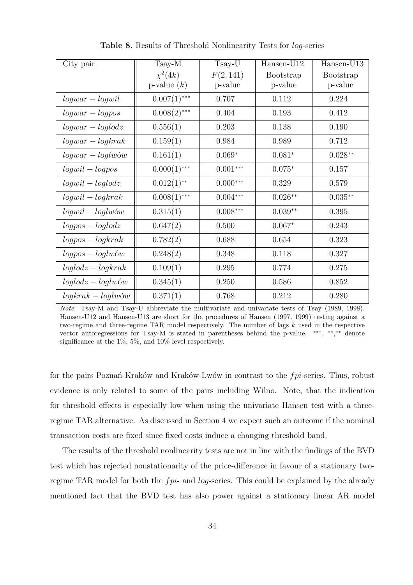| City pair            | Tsay-M         | Tsay-U     | Hansen-U12       | Hansen-U13 |
|----------------------|----------------|------------|------------------|------------|
|                      | $\chi^2(4k)$   | F(2, 141)  | <b>Bootstrap</b> | Bootstrap  |
|                      | p-value $(k)$  | p-value    | p-value          | p-value    |
| $logwar - logwil$    | $0.007(1)$ *** | 0.707      | 0.112            | 0.224      |
| $logwar - logpos$    | $0.008(2)$ *** | 0.404      | 0.193            | 0.412      |
| $logwar - loglodz$   | 0.556(1)       | 0.203      | 0.138            | 0.190      |
| $logwar - logkrak$   | 0.159(1)       | 0.984      | 0.989            | 0.712      |
| $logwar - loglw$     | 0.161(1)       | $0.069*$   | $0.081*$         | $0.028**$  |
| $logwil - logpos$    | $0.000(1)$ *** | $0.001***$ | $0.075*$         | 0.157      |
| $logwil - loglodz$   | $0.012(1)$ **  | $0.000***$ | 0.329            | 0.579      |
| $logwil - logkrak$   | $0.008(1)$ *** | $0.004***$ | $0.026**$        | $0.035**$  |
| $logwil - loglw$ ów  | 0.315(1)       | $0.008***$ | $0.039**$        | 0.395      |
| $logpos - loglodz$   | 0.647(2)       | 0.500      | $0.067*$         | 0.243      |
| $logpos - logkrak$   | 0.782(2)       | 0.688      | 0.654            | 0.323      |
| $logpos - loglw$     | 0.248(2)       | 0.348      | 0.118            | 0.327      |
| $loglodz - logkrak$  | 0.109(1)       | 0.295      | 0.774            | 0.275      |
| $loglodz - loglw$ ów | 0.345(1)       | 0.250      | 0.586            | 0.852      |
| $logkrak - loglw$ ów | 0.371(1)       | 0.768      | 0.212            | 0.280      |

Table 8. Results of Threshold Nonlinearity Tests for log-series

Note: Tsay-M and Tsay-U abbreviate the multivariate and univariate tests of Tsay (1989, 1998). Hansen-U12 and Hansen-U13 are short for the procedures of Hansen (1997, 1999) testing against a two-regime and three-regime TAR model respectively. The number of lags  $k$  used in the respective vector autoregressions for Tsay-M is stated in parentheses behind the p-value. \*\*\*, \*\*,\*\* denote significance at the 1%, 5%, and 10% level respectively.

for the pairs Poznań-Kraków and Kraków-Lwów in contrast to the  $fpi$ -series. Thus, robust evidence is only related to some of the pairs including Wilno. Note, that the indication for threshold effects is especially low when using the univariate Hansen test with a threeregime TAR alternative. As discussed in Section 4 we expect such an outcome if the nominal transaction costs are fixed since fixed costs induce a changing threshold band.

The results of the threshold nonlinearity tests are not in line with the findings of the BVD test which has rejected nonstationarity of the price-difference in favour of a stationary tworegime TAR model for both the  $fpi$ - and log-series. This could be explained by the already mentioned fact that the BVD test has also power against a stationary linear AR model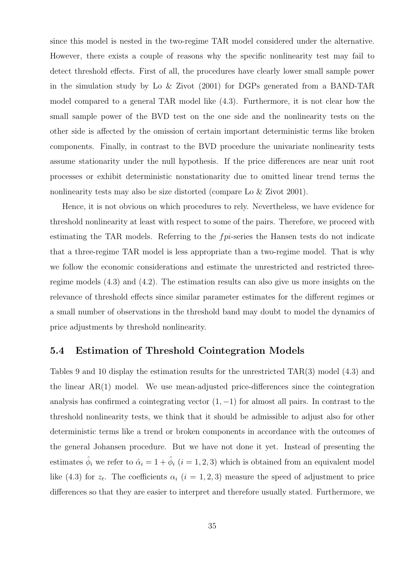since this model is nested in the two-regime TAR model considered under the alternative. However, there exists a couple of reasons why the specific nonlinearity test may fail to detect threshold effects. First of all, the procedures have clearly lower small sample power in the simulation study by Lo & Zivot (2001) for DGPs generated from a BAND-TAR model compared to a general TAR model like (4.3). Furthermore, it is not clear how the small sample power of the BVD test on the one side and the nonlinearity tests on the other side is affected by the omission of certain important deterministic terms like broken components. Finally, in contrast to the BVD procedure the univariate nonlinearity tests assume stationarity under the null hypothesis. If the price differences are near unit root processes or exhibit deterministic nonstationarity due to omitted linear trend terms the nonlinearity tests may also be size distorted (compare Lo & Zivot 2001).

Hence, it is not obvious on which procedures to rely. Nevertheless, we have evidence for threshold nonlinearity at least with respect to some of the pairs. Therefore, we proceed with estimating the TAR models. Referring to the  $fpi$ -series the Hansen tests do not indicate that a three-regime TAR model is less appropriate than a two-regime model. That is why we follow the economic considerations and estimate the unrestricted and restricted threeregime models (4.3) and (4.2). The estimation results can also give us more insights on the relevance of threshold effects since similar parameter estimates for the different regimes or a small number of observations in the threshold band may doubt to model the dynamics of price adjustments by threshold nonlinearity.

#### 5.4 Estimation of Threshold Cointegration Models

Tables 9 and 10 display the estimation results for the unrestricted TAR(3) model (4.3) and the linear  $AR(1)$  model. We use mean-adjusted price-differences since the cointegration analysis has confirmed a cointegrating vector  $(1, -1)$  for almost all pairs. In contrast to the threshold nonlinearity tests, we think that it should be admissible to adjust also for other deterministic terms like a trend or broken components in accordance with the outcomes of the general Johansen procedure. But we have not done it yet. Instead of presenting the estimates  $\hat{\phi}_i$  we refer to  $\hat{\alpha}_i = 1 + \hat{\phi}_i$   $(i = 1, 2, 3)$  which is obtained from an equivalent model like (4.3) for  $z_t$ . The coefficients  $\alpha_i$  (i = 1, 2, 3) measure the speed of adjustment to price differences so that they are easier to interpret and therefore usually stated. Furthermore, we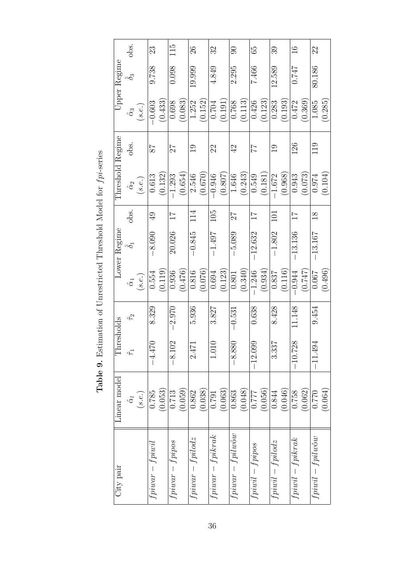| City pair                       | Linear model     | Thresholds                             |              |                  | Lower Regime   |                 | Threshold Regime |                 |                  | Upper Regime       |               |
|---------------------------------|------------------|----------------------------------------|--------------|------------------|----------------|-----------------|------------------|-----------------|------------------|--------------------|---------------|
|                                 | $\hat{\alpha}_l$ | $\hat{\tau}$                           | $\hat{\tau}$ | $\hat{\alpha}_1$ | $\hat{\delta}$ | obs.            | $\hat{\alpha}_2$ | obs.            | $\hat{\alpha}_3$ | $\tilde{\delta}_3$ | obs.          |
|                                 | (s.e.)           |                                        |              | (s.e.)           |                |                 | (s.e.)           |                 | (s.e.)           |                    |               |
| $fpiwar-fpiwil$                 | 0.785            | 021<br>न<br>न                          | 8.329        | 0.554            | $-8.090$       | $\overline{49}$ | 0.613            | 78              | $-0.603$         | 9.738              | 23            |
|                                 | (0.053)          |                                        |              | (0.119)          |                |                 | (0.132)          |                 | (0.433)          |                    |               |
| $fpiwar - fppos$                | 0.713            | $\mathbb{S}$<br>$-8.1$                 | $-2.970$     | 0.936            | 20.026         | $\overline{11}$ | $-1.293$         | 27              | 0.698            | 0.098              | 115           |
|                                 | (0.059)          |                                        |              | (0.476)          |                |                 | (0.654)          |                 | (0.083)          |                    |               |
| $fpiwar-fpidodz$                | 0.862            | $\overline{C}$<br>त<br>न               | 5.936        | 0.816            | $-0.845$       | 114             | 2.546            | $\Xi$           | 1.252            | 19.999             | 26            |
|                                 | (0.038)          |                                        |              | (0.076)          |                |                 | (0.670)          |                 | (0.152)          |                    |               |
| $fpiwar - fpikrak$              | 162.0            | $\frac{1}{1}$                          | 3.827        | 0.694            | $-1.497$       | 105             | $-0.946$         | 22              | 0.704            | 4.849              | 32            |
|                                 | (0.063)          |                                        |              | (0.123)          |                |                 | (0.807)          |                 | (0.191)          |                    |               |
| $fpiwar - fpilwow$              | 0.863            | 80 <sub>o</sub><br>$-8.8$              | $-0.531$     | 0.801            | $-5.089$       | 27              | 1.646            | $\overline{42}$ | 0.768            | 2.295              | $\Theta$      |
|                                 | (0.048)          |                                        |              | (0.340)          |                |                 | (0.243)          |                 | (0.113)          |                    |               |
| $fpi will - fpipos$             | 122.0            | 99<br>$-12.0$                          | 0.638        | $-1.246$         | $-12.632$      |                 | 0.549            | 77              | 0.426            | 7.466              | 59            |
|                                 | (0.056)          |                                        |              | (0.934)          |                |                 | (0.181)          |                 | (0.123)          |                    |               |
| $fpiwil-fpidodz$                | 0.844            | 25.<br>ು.<br>ಬ                         | 8.428        | 0.837            | $-1.802$       | 101             | $-1.672$         | $\overline{0}$  | 0.283            | 12.589             | 39            |
|                                 | (0.046)          |                                        |              | (0.116)          |                |                 | (0.968)          |                 | (0.193)          |                    |               |
| $fpiwil - fpikrak$              | 0.758            | $\mathcal{S}^{\mathcal{C}}$<br>$-10.7$ | 11.148       | $-0.944$         | $-13.136$      |                 | 0.943            | 126             | 0.472            | 1747               | $\frac{6}{1}$ |
|                                 | (0.062)          |                                        |              | (257)            |                |                 | (0.073)          |                 | (0.369)          |                    |               |
| $fpi will - fpi l w \acute{o}w$ | 0.770            | 94<br>$-11.4$                          | 9.454        | 0.067            | $-13.167$      | $\frac{8}{1}$   | 0.974            | 19              | 1.085            | 80.186             | 22            |
|                                 | (0.064)          |                                        |              | (0.496)          |                |                 | (0.104)          |                 | (0.285)          |                    |               |

Table 9. Estimation of Unrestricted Threshold Model for  $fpi$ -series **Table 9.** Estimation of Unrestricted Threshold Model for  $fp$ i-series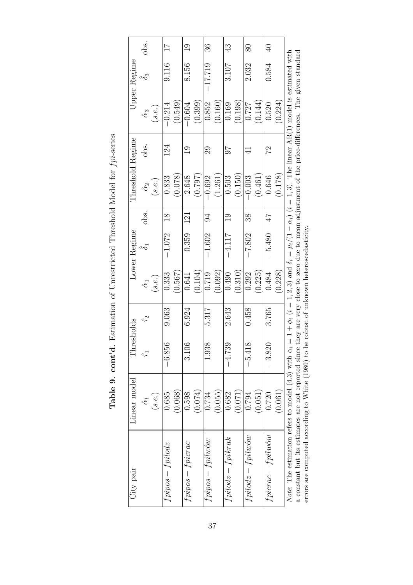|                  | obs.             |        | $\overline{11}$  |         | $\frac{0}{1}$   |         | 36               |         | 43                  |         | $80\,$              |         | $\overline{40}$  |         |                                                                                                                                                                                                  |                                                                                                                                                     |
|------------------|------------------|--------|------------------|---------|-----------------|---------|------------------|---------|---------------------|---------|---------------------|---------|------------------|---------|--------------------------------------------------------------------------------------------------------------------------------------------------------------------------------------------------|-----------------------------------------------------------------------------------------------------------------------------------------------------|
| Upper Regime     | $\hat{\delta}_3$ |        | 9.116            |         | 8.156           |         | $-17.719$        |         | 3.107               |         | 2.032               |         | 0.584            |         |                                                                                                                                                                                                  |                                                                                                                                                     |
|                  | $\hat{\alpha}_3$ | (s.e.) | $-0.214$         | (0.549) | $-0.604$        | (0.399) | 0.852            | (0.160) | 0.169               | (0.198) | 0.727               | (0.144) | 0.520            | 0.224)  |                                                                                                                                                                                                  |                                                                                                                                                     |
|                  | obs.             |        | 124              |         | $\Xi$           |         | 29               |         | 76                  |         | $\exists$           |         | 22               |         |                                                                                                                                                                                                  |                                                                                                                                                     |
| Threshold Regime | $\hat{\alpha}_2$ | (s.e.) | 0.833            | (0.078) | 2.648           | (0.797) | $-0.692$         | (1.261) | 0.503               | (0.150) | $-0.003$            | (0.461) | 0.646            | (0.178) |                                                                                                                                                                                                  |                                                                                                                                                     |
|                  | obs.             |        | $\frac{8}{1}$    |         | 121             |         | 94               |         | $\frac{0}{1}$       |         | 38                  |         | 47               |         |                                                                                                                                                                                                  |                                                                                                                                                     |
| Lower Regime     | $\mathcal{E}$    |        | $-1.072$         |         | 0.359           |         | $-1.602$         |         | $-4.117$            |         | $-7.802$            |         | $-5.480$         |         |                                                                                                                                                                                                  |                                                                                                                                                     |
|                  | $\hat{\alpha}_1$ | (s.e.) | 0.333            | (0.567) | 0.641           | (0.104) | 0.719            | (0.092) | 0.490               | 0.310   | 0.292               | (0.225) | 0.484            | (0.228) |                                                                                                                                                                                                  |                                                                                                                                                     |
|                  | $\hat{\tau}_2$   |        | 9.063            |         | 6.924           |         | 5.317            |         | 2.643               |         | 0.458               |         | 3.765            |         |                                                                                                                                                                                                  |                                                                                                                                                     |
| Thresholds       | $\hat{\tau}$     |        | $-6.856$         |         | $\infty$<br>ದ   |         | 1.938            |         | $-4.739$            |         | $-5.418$            |         | $-3.820$         |         |                                                                                                                                                                                                  |                                                                                                                                                     |
| Linear model     | $\hat{\alpha}$   | (s.e.) | 0.685            | (0.068) | 0.598           | (0.074) | 0.734            | (0.055) | 0.682               | (0.071) | 0.794               | (0.051) | 0.720            | (0.061) |                                                                                                                                                                                                  |                                                                                                                                                     |
| City pair        |                  |        | $fpipos-fpidodz$ |         | $fppos-fpicrac$ |         | $fpppos-fpilwów$ |         | $fpidodz - fpikrak$ |         | $fpidodz - fpilwow$ |         | $fporac-fpilwów$ |         | <i>Note</i> : The estimation refers to model (4.3) with $\alpha_i = 1 + \phi_i$ ( $i = 1, 2, 3$ ) and $\delta_i = \mu_i/(1 - \alpha_i)$ ( $i = 1, 3$ ). The linear AR(1) model is estimated with | a constant but its estimates are not reported since they are very close to zero due to mean adjustment of the price-differences. The given standard |

Table 9. cont'd. Estimation of Unrestricted Threshold Model for  $fpi$ -series **Table 9. cont'd.** Estimation of Unrestricted Threshold Model for  $fpi$ -series

a constant but its estimates are not reported since they are very close to zero due to mean adjustment of the price-differences. The given standard errors are computed according to White (1980) to be robust of unknown heteroscedasticity. errors are computed according to White (1980) to be robust of unknown heteroscedasticity.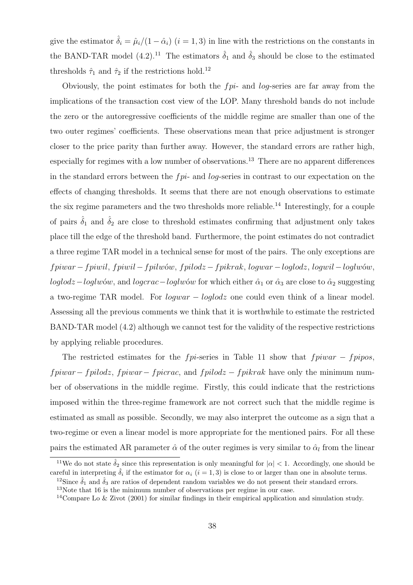give the estimator  $\hat{\delta}_i = \hat{\mu}_i/(1 - \hat{\alpha}_i)$   $(i = 1, 3)$  in line with the restrictions on the constants in the BAND-TAR model (4.2).<sup>11</sup> The estimators  $\hat{\delta}_1$  and  $\hat{\delta}_3$  should be close to the estimated thresholds  $\hat{\tau}_1$  and  $\hat{\tau}_2$  if the restrictions hold.<sup>12</sup>

Obviously, the point estimates for both the  $fpi$ - and log-series are far away from the implications of the transaction cost view of the LOP. Many threshold bands do not include the zero or the autoregressive coefficients of the middle regime are smaller than one of the two outer regimes' coefficients. These observations mean that price adjustment is stronger closer to the price parity than further away. However, the standard errors are rather high, especially for regimes with a low number of observations.<sup>13</sup> There are no apparent differences in the standard errors between the  $fpi$ - and log-series in contrast to our expectation on the effects of changing thresholds. It seems that there are not enough observations to estimate the six regime parameters and the two thresholds more reliable.<sup>14</sup> Interestingly, for a couple of pairs  $\hat{\delta}_1$  and  $\hat{\delta}_2$  are close to threshold estimates confirming that adjustment only takes place till the edge of the threshold band. Furthermore, the point estimates do not contradict a three regime TAR model in a technical sense for most of the pairs. The only exceptions are fpiwar −fpiwil, fpiwil −fpilw´ow, fpilodz −fpikrak, logwar −loglodz, logwil −loglw´ow, loglodz – loglwów, and logcrac – loglwów for which either  $\hat{\alpha}_1$  or  $\hat{\alpha}_3$  are close to  $\hat{\alpha}_2$  suggesting a two-regime TAR model. For logwar − loglodz one could even think of a linear model. Assessing all the previous comments we think that it is worthwhile to estimate the restricted BAND-TAR model (4.2) although we cannot test for the validity of the respective restrictions by applying reliable procedures.

The restricted estimates for the  $fpi$ -series in Table 11 show that  $fpiwar - fpipos$ ,  $fpiwar-fpilodz, fpiwar-fpicrac, and fpiolodz-fpikrak have only the minimum num$ ber of observations in the middle regime. Firstly, this could indicate that the restrictions imposed within the three-regime framework are not correct such that the middle regime is estimated as small as possible. Secondly, we may also interpret the outcome as a sign that a two-regime or even a linear model is more appropriate for the mentioned pairs. For all these pairs the estimated AR parameter  $\hat{\alpha}$  of the outer regimes is very similar to  $\hat{\alpha}_l$  from the linear

<sup>&</sup>lt;sup>11</sup>We do not state  $\hat{\delta}_2$  since this representation is only meaningful for  $|\alpha| < 1$ . Accordingly, one should be careful in interpreting  $\hat{\delta}_i$  if the estimator for  $\alpha_i$   $(i = 1, 3)$  is close to or larger than one in absolute terms.

<sup>&</sup>lt;sup>12</sup>Since  $\hat{\delta}_1$  and  $\hat{\delta}_3$  are ratios of dependent random variables we do not present their standard errors.

<sup>13</sup>Note that 16 is the minimum number of observations per regime in our case.

<sup>14</sup>Compare Lo & Zivot (2001) for similar findings in their empirical application and simulation study.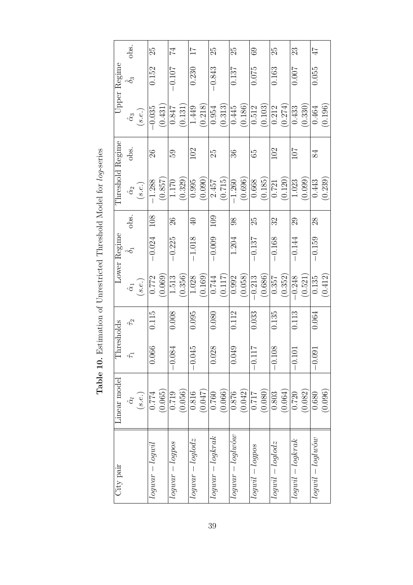| City pair              | Linear model     | hresholds<br>Ē                           |                |                  | Lower Regime |            | Threshold Regime |      |                  | Upper Regime     |                 |
|------------------------|------------------|------------------------------------------|----------------|------------------|--------------|------------|------------------|------|------------------|------------------|-----------------|
|                        | $\hat{\alpha}_l$ | $\hat{\tau}$                             | $\hat{\tau}_2$ | $\hat{\alpha}_1$ | $\delta$     | obs.       | $\hat{\alpha}_2$ | obs. | $\hat{\alpha}_3$ | $\hat{\delta}_3$ | obs.            |
|                        | (s.e.)           |                                          |                | (s.e.)           |              |            | (s.e.)           |      | (s.e.)           |                  |                 |
| $logu$ ar — $logu$ il  | 0.774            | 0.066                                    | 0.115          | 0.772            | $-0.024$     | 108        | $-1.288$         | 26   | $-0.035$         | 0.152            | 25              |
|                        | (0.065)          |                                          |                | (0.069)          |              |            | (0.857)          |      | (0.431)          |                  |                 |
| logwar — logpos        | 0.719            | $-0.084$                                 | 0.008          | 1.513            | $-0.225$     | 26         | $1.170\,$        | 59   | 0.847            | $-0.107$         | 74              |
|                        | (0.056)          |                                          |                | (0.356)          |              |            | (0.329)          |      | (0.131)          |                  |                 |
| $logwar - loglodz$     | 0.816            | 15<br>$-0.04$                            | 0.095          | 1.028            | $-1.018$     | $\Theta$   | 0.995            | 102  | 1.449            | 0.230            | $\overline{11}$ |
|                        | (0.047)          |                                          |                | (0.169)          |              |            | (0.090)          |      | 0.218            |                  |                 |
| $logwar - logkrak$     | 0.760            | $\frac{\infty}{\infty}$<br>0.02          | 0.080          | 0.744            | $-0.009$     | <b>201</b> | 2.457            | 25   | 0.954            | $-0.843$         | 25              |
|                        | (0.066)          |                                          |                | (0.117)          |              |            | (0.715)          |      | (0.313)          |                  |                 |
| $logwar - loglw$       | 0.876            | 0.049                                    | 0.112          | 0.992            | 1.204        | $\infty$   | $-1.260$         | 36   | 0.445            | 0.137            | 25              |
|                        | (0.042)          |                                          |                | (0.058)          |              |            | (0.696)          |      | (0.186)          |                  |                 |
| $loguli - logpos$      | 717.0            | $\overline{1}$<br>$-0.11$                | 0.033          | $-0.213$         | $-0.137$     | 25         | 0.668            | 59   | 0.512            | 0.075            | $\overline{69}$ |
|                        | (0.080)          |                                          |                | (0.686)          |              |            | (0.185)          |      | (0.103)          |                  |                 |
| $logwil - loglodz$     | 0.803            | $\overline{\infty}$<br>$-0.\overline{1}$ | 0.135          | 0.357            | $-0.168$     | Z          | 0.721            | 102  | 0.212            | 0.163            | 25              |
|                        | (0.064)          |                                          |                | (0.352)          |              |            | (0.120)          |      | (0.274)          |                  |                 |
| $logwil - logkrak$     | 0.720            | $-0.1$                                   | 0.113          | $-0.248$         | $-0.144$     | 29         | 1.023            | 107  | 0.433            | 0.007            | 23              |
|                        | (0.082)          |                                          |                | (0.521)          |              |            | (0.099)          |      | (0.330)          |                  |                 |
| $logwil - loglw\'{o}w$ | 0.680            | $-0.09$                                  | 0.064          | 0.135            | $-0.159$     | 28         | 0.443            | 84   | 0.464            | 0.055            | 47              |
|                        | (0.096)          |                                          |                | (0.412)          |              |            | (0.239)          |      | (0.196)          |                  |                 |

Table 10. Estimation of Unrestricted Threshold Model for *log*-series **Table 10.** Estimation of Unrestricted Threshold Model for *log*-series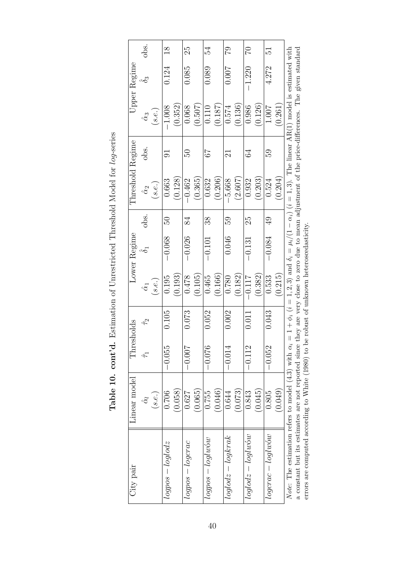| City pair                    | Linear model                                                                                                                                        | Thresholds              |                |                  | Lower Regime |                | Threshold Regime                                                                                                                         |         |                  | Upper Regime     |                |
|------------------------------|-----------------------------------------------------------------------------------------------------------------------------------------------------|-------------------------|----------------|------------------|--------------|----------------|------------------------------------------------------------------------------------------------------------------------------------------|---------|------------------|------------------|----------------|
|                              | $\hat{\alpha}_l$                                                                                                                                    | $\hat{\tau}$            | $\hat{\tau}_2$ | $\hat{\alpha}_1$ |              | obs.           | $\hat{\alpha}_2$                                                                                                                         | obs.    | $\hat{\alpha}_3$ | $\hat{\delta}_3$ | obs.           |
|                              | (s.e.)                                                                                                                                              |                         |                | (s.e.)           |              |                | (s.e.)                                                                                                                                   |         | (s.e.)           |                  |                |
| $logpos - loglogz$           | 0.706                                                                                                                                               | $-0.055$                | 0.105          | 0.195            | $-0.068$     | 50             | 0.663                                                                                                                                    | 5       | $-1.008$         | 0.124            | $\frac{8}{18}$ |
|                              | (0.058)                                                                                                                                             |                         |                | (0.193)          |              |                | (0.128)                                                                                                                                  |         | (0.352)          |                  |                |
| $logpos - logcrac$           | 0.627                                                                                                                                               | $-0.00$                 | 0.073          | 0.478            | $-0.026$     | 84             | $-0.462$                                                                                                                                 | RG<br>C | 0.068            | 0.085            | 25             |
|                              | (0.065)                                                                                                                                             |                         |                | (0.105)          |              |                | (0.365)                                                                                                                                  |         | (0.507)          |                  |                |
| $logpos - log(wow)$          | 0.755                                                                                                                                               | $-0.076$                | 0.052          | 0.465            | $-0.101$     | 38             | 0.632                                                                                                                                    | 73      | 0.110            | 0.089            | 54             |
|                              | (0.046)                                                                                                                                             |                         |                | (0.166)          |              |                | (0.206)                                                                                                                                  |         | (0.187)          |                  |                |
| $loglodz - logkrak$          | 0.644                                                                                                                                               | $-0.014$                | 0.002          | 0.780            | 0.046        | 59             | $-5.668$                                                                                                                                 | $\Xi$   | 0.574            | <b>1000</b>      | 62             |
|                              | (0.073)                                                                                                                                             |                         |                | (0.182)          |              |                | (2.607                                                                                                                                   |         | (0.136)          |                  |                |
| $loglodz - loglw$            | 0.843                                                                                                                                               | $\frac{2}{1}$<br>$-0.1$ | 0.011          | $-0.117$         | $-0.131$     | 25             | 0.932                                                                                                                                    | S       | 0.986            | $-1.220$         | 20             |
|                              | (0.045)                                                                                                                                             |                         |                | (0.382)          |              |                | (0.203)                                                                                                                                  |         | (0.126)          |                  |                |
| $logarc - log(w \acute{o}w)$ | 0.805                                                                                                                                               | $-0.052$                | 0.043          | 0.533            | $-0.084$     | $\overline{6}$ | 0.524                                                                                                                                    | 59      | 1.007            | 4.272            | re<br>1        |
|                              | (0.049)                                                                                                                                             |                         |                | 0.215            |              |                | 0.204)                                                                                                                                   |         | (0.261)          |                  |                |
|                              | Note: The estimation refers to model (4.3) with                                                                                                     |                         |                |                  |              |                | $\alpha_i = 1 + \phi_i$ ( $i = 1, 2, 3$ ) and $\delta_i = \mu_i/(1 - \alpha_i)$ ( $i = 1, 3$ ). The linear AR(1) model is estimated with |         |                  |                  |                |
|                              | a constant but its estimates are not reported since they are very close to zero due to mean adjustment of the price-differences. The given standard |                         |                |                  |              |                |                                                                                                                                          |         |                  |                  |                |

Table 10. cont'd. Estimation of Unrestricted Threshold Model for log-series **Table 10. cont'd.** Estimation of Unrestricted Threshold Model for  $log$ -series

40

a constant but its estimates are not reported since they are very close to zero due to mean adjustment of the price-differences. The given standard errors are computed according to White (1980) to be robust of unknown heteroscedasticity. errors are computed according to White (1980) to be robust of unknown heteroscedasticity.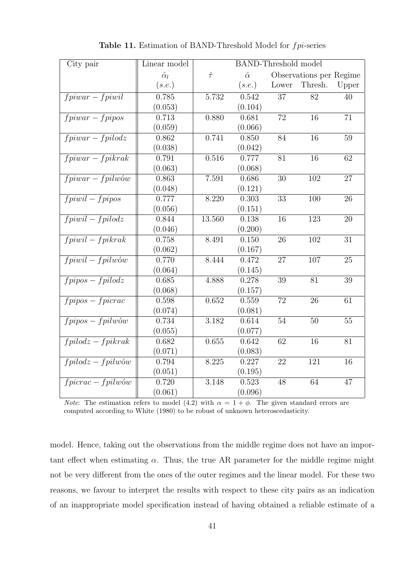| City pair                       | Linear model     |              | <b>BAND-Threshold model</b> |                 |                         |                 |
|---------------------------------|------------------|--------------|-----------------------------|-----------------|-------------------------|-----------------|
|                                 | $\hat{\alpha}_l$ | $\hat{\tau}$ | $\hat{\alpha}$              |                 | Observations per Regime |                 |
|                                 | (s.e.)           |              | (s.e.)                      | Lower           | Thresh.                 | Upper           |
| $f\overline{piwar-fpiwil}$      | 0.785            | 5.732        | 0.542                       | $\overline{37}$ | $\overline{82}$         | 40              |
|                                 | (0.053)          |              | (0.104)                     |                 |                         |                 |
| $fpiwar-fpipos$                 | 0.713            | 0.880        | 0.681                       | $\overline{72}$ | $\overline{16}$         | $\overline{71}$ |
|                                 | (0.059)          |              | (0.066)                     |                 |                         |                 |
| $fpiwar-fpilodz$                | 0.862            | 0.741        | 0.850                       | 84              | $\overline{16}$         | $\overline{59}$ |
|                                 | (0.038)          |              | (0.042)                     |                 |                         |                 |
| $fpiwar - fpikrak$              | 0.791            | 0.516        | 0.777                       | 81              | $\overline{16}$         | 62              |
|                                 | (0.063)          |              | (0.068)                     |                 |                         |                 |
| $fpiwar-fpilwów$                | 0.863            | 7.591        | 0.686                       | $\overline{30}$ | 102                     | $\overline{27}$ |
|                                 | (0.048)          |              | (0.121)                     |                 |                         |                 |
| $fpiwil-fpipos$                 | 0.777            | 8.220        | 0.303                       | 33              | 100                     | 26              |
|                                 | (0.056)          |              | (0.151)                     |                 |                         |                 |
| $fpiwil-fpilodz$                | 0.844            | 13.560       | 0.138                       | 16              | 123                     | 20              |
|                                 | (0.046)          |              | (0.200)                     |                 |                         |                 |
| $fpiwil-fpikrak$                | 0.758            | 8.491        | 0.150                       | 26              | 102                     | 31              |
|                                 | (0.062)          |              | (0.167)                     |                 |                         |                 |
| $fpi will - fpi l w \acute{o}w$ | 0.770            | 8.444        | 0.472                       | 27              | 107                     | $\overline{25}$ |
|                                 | (0.064)          |              | (0.145)                     |                 |                         |                 |
| $fpipos-fpilodz$                | 0.685            | 4.888        | 0.278                       | $\overline{39}$ | $\overline{81}$         | $\overline{39}$ |
|                                 | (0.068)          |              | (0.157)                     |                 |                         |                 |
| $f$ pipos – $f$ picrac          | 0.598            | 0.652        | 0.559                       | $\overline{72}$ | $\overline{26}$         | $\overline{61}$ |
|                                 | (0.074)          |              | (0.081)                     |                 |                         |                 |
| $f$ pipos — $f$ pilwów          | 0.734            | 3.182        | 0.614                       | 54              | 50                      | 55              |
|                                 | (0.055)          |              | (0.077)                     |                 |                         |                 |
| $fpidodz-fpikrak$               | 0.682            | 0.655        | 0.642                       | 62              | 16                      | 81              |
|                                 | (0.071)          |              | (0.083)                     |                 |                         |                 |
| $fpidodz-fpilwów$               | 0.794            | 8.225        | 0.227                       | 22              | $\overline{121}$        | $\overline{16}$ |
|                                 | (0.051)          |              | (0.195)                     |                 |                         |                 |
| $fpicrac - fpilwów$             | 0.720            | 3.148        | 0.523                       | 48              | 64                      | 47              |
|                                 | (0.061)          |              | (0.096)                     |                 |                         |                 |

Table 11. Estimation of BAND-Threshold Model for fpi-series

*Note*: The estimation refers to model (4.2) with  $\alpha = 1 + \phi$ . The given standard errors are computed according to White (1980) to be robust of unknown heteroscedasticity.

model. Hence, taking out the observations from the middle regime does not have an important effect when estimating  $\alpha$ . Thus, the true AR parameter for the middle regime might not be very different from the ones of the outer regimes and the linear model. For these two reasons, we favour to interpret the results with respect to these city pairs as an indication of an inappropriate model specification instead of having obtained a reliable estimate of a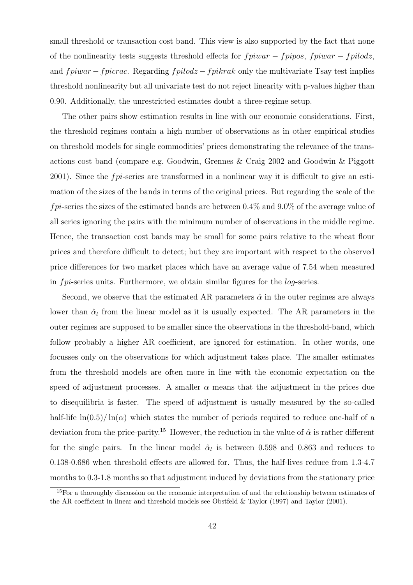small threshold or transaction cost band. This view is also supported by the fact that none of the nonlinearity tests suggests threshold effects for  $fpiwar - fpipos$ ,  $fpiwar - fpilodz$ , and  $fpiwar - fpicrac$ . Regarding  $fpiodz - fpikrak$  only the multivariate Tsay test implies threshold nonlinearity but all univariate test do not reject linearity with p-values higher than 0.90. Additionally, the unrestricted estimates doubt a three-regime setup.

The other pairs show estimation results in line with our economic considerations. First, the threshold regimes contain a high number of observations as in other empirical studies on threshold models for single commodities' prices demonstrating the relevance of the transactions cost band (compare e.g. Goodwin, Grennes & Craig 2002 and Goodwin & Piggott 2001). Since the  $fpi$ -series are transformed in a nonlinear way it is difficult to give an estimation of the sizes of the bands in terms of the original prices. But regarding the scale of the  $fpi$ -series the sizes of the estimated bands are between 0.4% and 9.0% of the average value of all series ignoring the pairs with the minimum number of observations in the middle regime. Hence, the transaction cost bands may be small for some pairs relative to the wheat flour prices and therefore difficult to detect; but they are important with respect to the observed price differences for two market places which have an average value of 7.54 when measured in fpi-series units. Furthermore, we obtain similar figures for the log-series.

Second, we observe that the estimated AR parameters  $\hat{\alpha}$  in the outer regimes are always lower than  $\hat{\alpha}_l$  from the linear model as it is usually expected. The AR parameters in the outer regimes are supposed to be smaller since the observations in the threshold-band, which follow probably a higher AR coefficient, are ignored for estimation. In other words, one focusses only on the observations for which adjustment takes place. The smaller estimates from the threshold models are often more in line with the economic expectation on the speed of adjustment processes. A smaller  $\alpha$  means that the adjustment in the prices due to disequilibria is faster. The speed of adjustment is usually measured by the so-called half-life  $\ln(0.5)/\ln(\alpha)$  which states the number of periods required to reduce one-half of a deviation from the price-parity.<sup>15</sup> However, the reduction in the value of  $\hat{\alpha}$  is rather different for the single pairs. In the linear model  $\hat{\alpha}_l$  is between 0.598 and 0.863 and reduces to 0.138-0.686 when threshold effects are allowed for. Thus, the half-lives reduce from 1.3-4.7 months to 0.3-1.8 months so that adjustment induced by deviations from the stationary price

<sup>&</sup>lt;sup>15</sup>For a thoroughly discussion on the economic interpretation of and the relationship between estimates of the AR coefficient in linear and threshold models see Obstfeld & Taylor (1997) and Taylor (2001).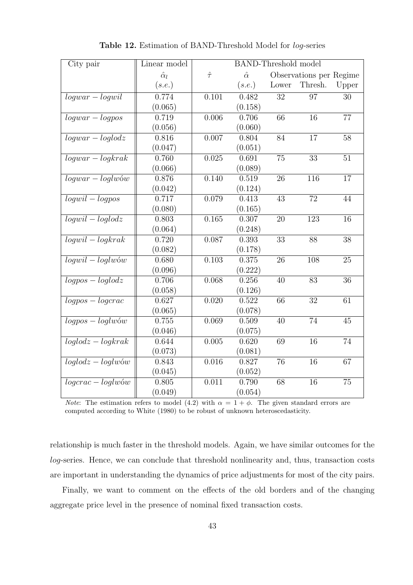| City pair            | Linear model     |              | <b>BAND-Threshold model</b> |                 |                         |                 |
|----------------------|------------------|--------------|-----------------------------|-----------------|-------------------------|-----------------|
|                      | $\hat{\alpha}_l$ | $\hat{\tau}$ | $\hat{\alpha}$              |                 | Observations per Regime |                 |
|                      | (s.e.)           |              | (s.e.)                      | Lower           | Thresh.                 | Upper           |
| $logwar - logwil$    | 0.774            | 0.101        | 0.482                       | 32              | 97                      | 30              |
|                      | (0.065)          |              | (0.158)                     |                 |                         |                 |
| $logwar - logpos$    | 0.719            | 0.006        | 0.706                       | 66              | 16                      | $\overline{77}$ |
|                      | (0.056)          |              | (0.060)                     |                 |                         |                 |
| $logwar - loglodz$   | 0.816            | 0.007        | 0.804                       | $\overline{84}$ | $\overline{17}$         | $\overline{58}$ |
|                      | (0.047)          |              | (0.051)                     |                 |                         |                 |
| $logwar - logkrak$   | 0.760            | 0.025        | 0.691                       | 75              | 33                      | 51              |
|                      | (0.066)          |              | (0.089)                     |                 |                         |                 |
| $logwar - loglw$ ów  | 0.876            | 0.140        | 0.519                       | $\overline{26}$ | $\overline{116}$        | $\overline{17}$ |
|                      | (0.042)          |              | (0.124)                     |                 |                         |                 |
| $logwil - logpos$    | 0.717            | 0.079        | 0.413                       | 43              | 72                      | 44              |
|                      | (0.080)          |              | (0.165)                     |                 |                         |                 |
| $logwil - loglodz$   | 0.803            | 0.165        | 0.307                       | 20              | 123                     | $\overline{16}$ |
|                      | (0.064)          |              | (0.248)                     |                 |                         |                 |
| $logwil - logkrak$   | 0.720            | 0.087        | 0.393                       | 33              | 88                      | 38              |
|                      | (0.082)          |              | (0.178)                     |                 |                         |                 |
| $logwil - loglw$ ów  | 0.680            | 0.103        | 0.375                       | 26              | 108                     | $\overline{25}$ |
|                      | (0.096)          |              | (0.222)                     |                 |                         |                 |
| $logpos - loglodz$   | 0.706            | 0.068        | 0.256                       | $\overline{40}$ | 83                      | $\overline{36}$ |
|                      | (0.058)          |              | (0.126)                     |                 |                         |                 |
| $logpos - logcrac$   | 0.627            | 0.020        | 0.522                       | $\overline{66}$ | $\overline{32}$         | $\overline{61}$ |
|                      | (0.065)          |              | (0.078)                     |                 |                         |                 |
| $logpos - loglw$ ów  | 0.755            | 0.069        | 0.509                       | 40              | 74                      | 45              |
|                      | (0.046)          |              | (0.075)                     |                 |                         |                 |
| $loglodz - logkrak$  | 0.644            | 0.005        | 0.620                       | 69              | 16                      | $74\,$          |
|                      | (0.073)          |              | (0.081)                     |                 |                         |                 |
| $loglodz - loglw$ ów | 0.843            | 0.016        | 0.827                       | 76              | 16                      | 67              |
|                      | (0.045)          |              | (0.052)                     |                 |                         |                 |
| $logcrac - loglw$ ów | 0.805            | 0.011        | 0.790                       | 68              | 16                      | $75\,$          |
|                      | (0.049)          |              | (0.054)                     |                 |                         |                 |

Table 12. Estimation of BAND-Threshold Model for log-series

*Note*: The estimation refers to model (4.2) with  $\alpha = 1 + \phi$ . The given standard errors are computed according to White (1980) to be robust of unknown heteroscedasticity.

relationship is much faster in the threshold models. Again, we have similar outcomes for the log-series. Hence, we can conclude that threshold nonlinearity and, thus, transaction costs are important in understanding the dynamics of price adjustments for most of the city pairs.

Finally, we want to comment on the effects of the old borders and of the changing aggregate price level in the presence of nominal fixed transaction costs.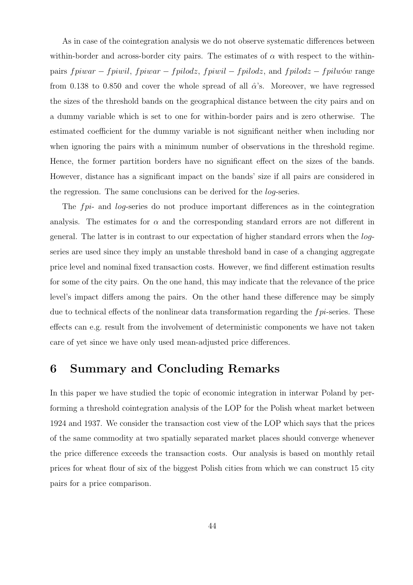As in case of the cointegration analysis we do not observe systematic differences between within-border and across-border city pairs. The estimates of  $\alpha$  with respect to the withinpairs  $fpiwar - fpiwil$ ,  $fpiwar - fpilodz$ ,  $fpiwil - fpilodz$ , and  $fpilodz - fpilwów$  range from 0.138 to 0.850 and cover the whole spread of all  $\hat{\alpha}$ 's. Moreover, we have regressed the sizes of the threshold bands on the geographical distance between the city pairs and on a dummy variable which is set to one for within-border pairs and is zero otherwise. The estimated coefficient for the dummy variable is not significant neither when including nor when ignoring the pairs with a minimum number of observations in the threshold regime. Hence, the former partition borders have no significant effect on the sizes of the bands. However, distance has a significant impact on the bands' size if all pairs are considered in the regression. The same conclusions can be derived for the log-series.

The fpi- and log-series do not produce important differences as in the cointegration analysis. The estimates for  $\alpha$  and the corresponding standard errors are not different in general. The latter is in contrast to our expectation of higher standard errors when the logseries are used since they imply an unstable threshold band in case of a changing aggregate price level and nominal fixed transaction costs. However, we find different estimation results for some of the city pairs. On the one hand, this may indicate that the relevance of the price level's impact differs among the pairs. On the other hand these difference may be simply due to technical effects of the nonlinear data transformation regarding the fpi-series. These effects can e.g. result from the involvement of deterministic components we have not taken care of yet since we have only used mean-adjusted price differences.

## 6 Summary and Concluding Remarks

In this paper we have studied the topic of economic integration in interwar Poland by performing a threshold cointegration analysis of the LOP for the Polish wheat market between 1924 and 1937. We consider the transaction cost view of the LOP which says that the prices of the same commodity at two spatially separated market places should converge whenever the price difference exceeds the transaction costs. Our analysis is based on monthly retail prices for wheat flour of six of the biggest Polish cities from which we can construct 15 city pairs for a price comparison.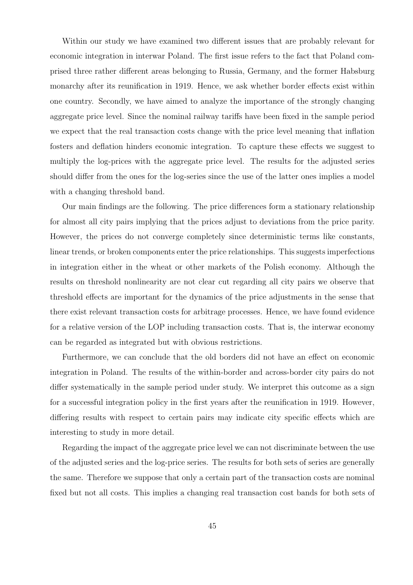Within our study we have examined two different issues that are probably relevant for economic integration in interwar Poland. The first issue refers to the fact that Poland comprised three rather different areas belonging to Russia, Germany, and the former Habsburg monarchy after its reunification in 1919. Hence, we ask whether border effects exist within one country. Secondly, we have aimed to analyze the importance of the strongly changing aggregate price level. Since the nominal railway tariffs have been fixed in the sample period we expect that the real transaction costs change with the price level meaning that inflation fosters and deflation hinders economic integration. To capture these effects we suggest to multiply the log-prices with the aggregate price level. The results for the adjusted series should differ from the ones for the log-series since the use of the latter ones implies a model with a changing threshold band.

Our main findings are the following. The price differences form a stationary relationship for almost all city pairs implying that the prices adjust to deviations from the price parity. However, the prices do not converge completely since deterministic terms like constants, linear trends, or broken components enter the price relationships. This suggests imperfections in integration either in the wheat or other markets of the Polish economy. Although the results on threshold nonlinearity are not clear cut regarding all city pairs we observe that threshold effects are important for the dynamics of the price adjustments in the sense that there exist relevant transaction costs for arbitrage processes. Hence, we have found evidence for a relative version of the LOP including transaction costs. That is, the interwar economy can be regarded as integrated but with obvious restrictions.

Furthermore, we can conclude that the old borders did not have an effect on economic integration in Poland. The results of the within-border and across-border city pairs do not differ systematically in the sample period under study. We interpret this outcome as a sign for a successful integration policy in the first years after the reunification in 1919. However, differing results with respect to certain pairs may indicate city specific effects which are interesting to study in more detail.

Regarding the impact of the aggregate price level we can not discriminate between the use of the adjusted series and the log-price series. The results for both sets of series are generally the same. Therefore we suppose that only a certain part of the transaction costs are nominal fixed but not all costs. This implies a changing real transaction cost bands for both sets of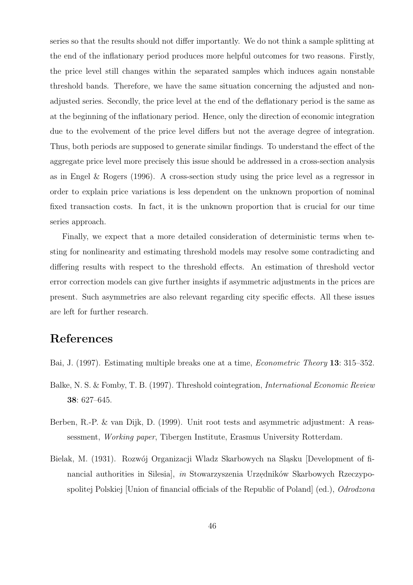series so that the results should not differ importantly. We do not think a sample splitting at the end of the inflationary period produces more helpful outcomes for two reasons. Firstly, the price level still changes within the separated samples which induces again nonstable threshold bands. Therefore, we have the same situation concerning the adjusted and nonadjusted series. Secondly, the price level at the end of the deflationary period is the same as at the beginning of the inflationary period. Hence, only the direction of economic integration due to the evolvement of the price level differs but not the average degree of integration. Thus, both periods are supposed to generate similar findings. To understand the effect of the aggregate price level more precisely this issue should be addressed in a cross-section analysis as in Engel & Rogers (1996). A cross-section study using the price level as a regressor in order to explain price variations is less dependent on the unknown proportion of nominal fixed transaction costs. In fact, it is the unknown proportion that is crucial for our time series approach.

Finally, we expect that a more detailed consideration of deterministic terms when testing for nonlinearity and estimating threshold models may resolve some contradicting and differing results with respect to the threshold effects. An estimation of threshold vector error correction models can give further insights if asymmetric adjustments in the prices are present. Such asymmetries are also relevant regarding city specific effects. All these issues are left for further research.

# References

- Bai, J. (1997). Estimating multiple breaks one at a time, Econometric Theory 13: 315–352.
- Balke, N. S. & Fomby, T. B. (1997). Threshold cointegration, International Economic Review 38: 627–645.
- Berben, R.-P. & van Dijk, D. (1999). Unit root tests and asymmetric adjustment: A reassessment, Working paper, Tibergen Institute, Erasmus University Rotterdam.
- Bielak, M. (1931). Rozwój Organizacji Wladz Skarbowych na Sląsku [Development of financial authorities in Silesia],  $\it in$  Stowarzyszenia Urzędników Skarbowych Rzeczypospolitej Polskiej [Union of financial officials of the Republic of Poland] (ed.), *Odrodzona*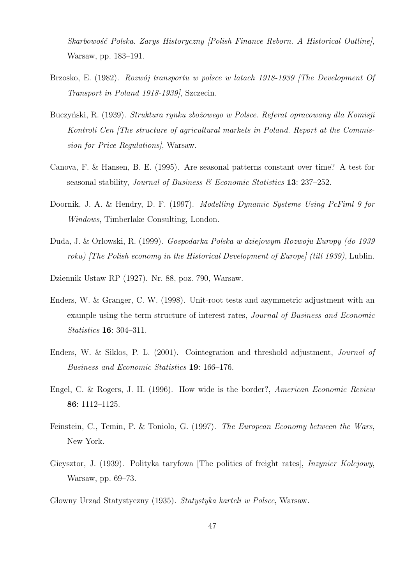Skarbowość Polska. Zarys Historyczny [Polish Finance Reborn. A Historical Outline], Warsaw, pp. 183–191.

- Brzosko, E. (1982). Rozwój transportu w polsce w latach 1918-1939 [The Development Of Transport in Poland 1918-1939], Szczecin.
- Buczyński, R. (1939). Struktura rynku zbożowego w Polsce. Referat opracowany dla Komisji Kontroli Cen [The structure of agricultural markets in Poland. Report at the Commission for Price Regulations], Warsaw.
- Canova, F. & Hansen, B. E. (1995). Are seasonal patterns constant over time? A test for seasonal stability, Journal of Business  $\mathcal B$  Economic Statistics 13: 237–252.
- Doornik, J. A. & Hendry, D. F. (1997). Modelling Dynamic Systems Using PcFiml 9 for Windows, Timberlake Consulting, London.
- Duda, J. & Orlowski, R. (1999). Gospodarka Polska w dziejowym Rozwoju Europy (do 1939 roku) *[The Polish economy in the Historical Development of Europe] (till 1939)*, Lublin.
- Dziennik Ustaw RP (1927). Nr. 88, poz. 790, Warsaw.
- Enders, W. & Granger, C. W. (1998). Unit-root tests and asymmetric adjustment with an example using the term structure of interest rates, Journal of Business and Economic Statistics 16: 304–311.
- Enders, W. & Siklos, P. L. (2001). Cointegration and threshold adjustment, Journal of Business and Economic Statistics 19: 166–176.
- Engel, C. & Rogers, J. H. (1996). How wide is the border?, American Economic Review 86: 1112–1125.
- Feinstein, C., Temin, P. & Toniolo, G. (1997). The European Economy between the Wars, New York.
- Gieysztor, J. (1939). Polityka taryfowa [The politics of freight rates], Inzynier Kolejowy, Warsaw, pp. 69–73.
- Głowny Urząd Statystyczny (1935). Statystyka karteli w Polsce, Warsaw.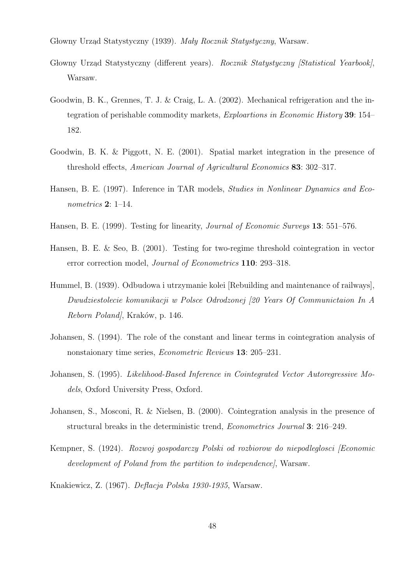Głowny Urząd Statystyczny (1939). Mały Rocznik Statystyczny, Warsaw.

- Głowny Urząd Statystyczny (different years). Rocznik Statystyczny [Statistical Yearbook], Warsaw.
- Goodwin, B. K., Grennes, T. J. & Craig, L. A. (2002). Mechanical refrigeration and the integration of perishable commodity markets, Exploartions in Economic History 39: 154– 182.
- Goodwin, B. K. & Piggott, N. E. (2001). Spatial market integration in the presence of threshold effects, American Journal of Agricultural Economics 83: 302–317.
- Hansen, B. E. (1997). Inference in TAR models, Studies in Nonlinear Dynamics and Econometrics 2: 1–14.
- Hansen, B. E. (1999). Testing for linearity, *Journal of Economic Surveys* 13: 551–576.
- Hansen, B. E. & Seo, B. (2001). Testing for two-regime threshold cointegration in vector error correction model, Journal of Econometrics 110: 293–318.
- Hummel, B. (1939). Odbudowa i utrzymanie kolei [Rebuilding and maintenance of railways], Dwudziestolecie komunikacji w Polsce Odrodzonej [20 Years Of Communictaion In A Reborn Poland, Kraków, p. 146.
- Johansen, S. (1994). The role of the constant and linear terms in cointegration analysis of nonstaionary time series, Econometric Reviews 13: 205–231.
- Johansen, S. (1995). Likelihood-Based Inference in Cointegrated Vector Autoregressive Models, Oxford University Press, Oxford.
- Johansen, S., Mosconi, R. & Nielsen, B. (2000). Cointegration analysis in the presence of structural breaks in the deterministic trend, Econometrics Journal 3: 216–249.
- Kempner, S. (1924). Rozwoj gospodarczy Polski od rozbiorow do niepodleglosci [Economic development of Poland from the partition to independence], Warsaw.
- Knakiewicz, Z. (1967). Deflacja Polska 1930-1935, Warsaw.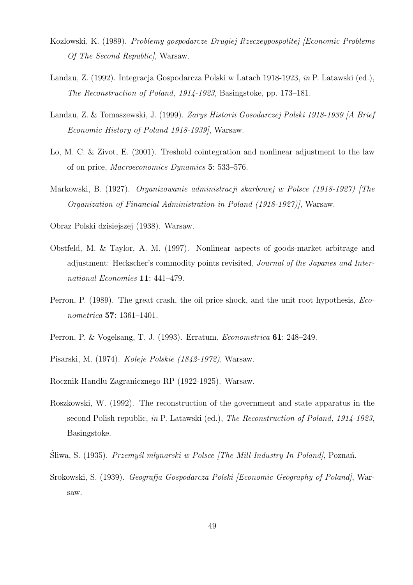- Kozlowski, K. (1989). Problemy gospodarcze Drugiej Rzeczeypospolitej [Economic Problems Of The Second Republic], Warsaw.
- Landau, Z. (1992). Integracja Gospodarcza Polski w Latach 1918-1923, in P. Latawski (ed.), The Reconstruction of Poland, 1914-1923, Basingstoke, pp. 173–181.
- Landau, Z. & Tomaszewski, J. (1999). Zarys Historii Gosodarczej Polski 1918-1939 [A Brief Economic History of Poland 1918-1939], Warsaw.
- Lo, M. C. & Zivot, E. (2001). Treshold cointegration and nonlinear adjustment to the law of on price, Macroeconomics Dynamics 5: 533–576.
- Markowski, B. (1927). Organizowanie administracji skarbowej w Polsce (1918-1927) [The Organization of Financial Administration in Poland (1918-1927)], Warsaw.
- Obraz Polski dzisiejszej (1938). Warsaw.
- Obstfeld, M. & Taylor, A. M. (1997). Nonlinear aspects of goods-market arbitrage and adjustment: Heckscher's commodity points revisited, Journal of the Japanes and International Economies 11: 441–479.
- Perron, P. (1989). The great crash, the oil price shock, and the unit root hypothesis, Econometrica 57: 1361–1401.
- Perron, P. & Vogelsang, T. J. (1993). Erratum, Econometrica 61: 248–249.
- Pisarski, M. (1974). Koleje Polskie (1842-1972), Warsaw.
- Rocznik Handlu Zagranicznego RP (1922-1925). Warsaw.
- Roszkowski, W. (1992). The reconstruction of the government and state apparatus in the second Polish republic, in P. Latawski (ed.), The Reconstruction of Poland, 1914-1923, Basingstoke.
- Śliwa, S. (1935). *Przemyśl młynarski w Polsce [The Mill-Industry In Poland]*, Poznań.
- Srokowski, S. (1939). Geografja Gospodarcza Polski [Economic Geography of Poland], Warsaw.